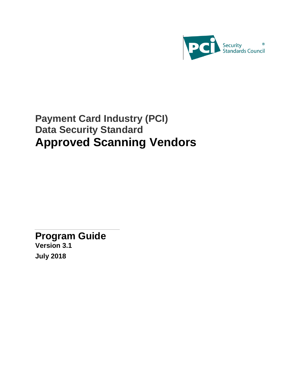

# **Payment Card Industry (PCI) Data Security Standard Approved Scanning Vendors**

<span id="page-0-0"></span>**Program Guide**

**Version 3.1 July 2018**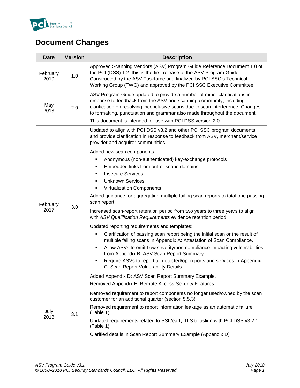

# <span id="page-1-0"></span>**Document Changes**

| <b>Date</b>                                                                       | <b>Version</b>                                                                                                                                                                                                                                                                                            | <b>Description</b>                                                                                                                                                                                                                                                                                              |  |
|-----------------------------------------------------------------------------------|-----------------------------------------------------------------------------------------------------------------------------------------------------------------------------------------------------------------------------------------------------------------------------------------------------------|-----------------------------------------------------------------------------------------------------------------------------------------------------------------------------------------------------------------------------------------------------------------------------------------------------------------|--|
| February<br>2010                                                                  | Approved Scanning Vendors (ASV) Program Guide Reference Document 1.0 of<br>the PCI (DSS) 1.2: this is the first release of the ASV Program Guide.<br>1.0<br>Constructed by the ASV Taskforce and finalized by PCI SSC's Technical<br>Working Group (TWG) and approved by the PCI SSC Executive Committee. |                                                                                                                                                                                                                                                                                                                 |  |
| May<br>2.0<br>2013<br>This document is intended for use with PCI DSS version 2.0. |                                                                                                                                                                                                                                                                                                           | ASV Program Guide updated to provide a number of minor clarifications in<br>response to feedback from the ASV and scanning community, including<br>clarification on resolving inconclusive scans due to scan interference. Changes<br>to formatting, punctuation and grammar also made throughout the document. |  |
|                                                                                   |                                                                                                                                                                                                                                                                                                           | Updated to align with PCI DSS v3.2 and other PCI SSC program documents<br>and provide clarification in response to feedback from ASV, merchant/service<br>provider and acquirer communities.                                                                                                                    |  |
|                                                                                   |                                                                                                                                                                                                                                                                                                           | Added new scan components:                                                                                                                                                                                                                                                                                      |  |
|                                                                                   |                                                                                                                                                                                                                                                                                                           | Anonymous (non-authenticated) key-exchange protocols                                                                                                                                                                                                                                                            |  |
|                                                                                   |                                                                                                                                                                                                                                                                                                           | Embedded links from out-of-scope domains<br>٠                                                                                                                                                                                                                                                                   |  |
|                                                                                   | 3.0                                                                                                                                                                                                                                                                                                       | <b>Insecure Services</b>                                                                                                                                                                                                                                                                                        |  |
|                                                                                   |                                                                                                                                                                                                                                                                                                           | <b>Unknown Services</b>                                                                                                                                                                                                                                                                                         |  |
|                                                                                   |                                                                                                                                                                                                                                                                                                           | Virtualization Components<br>٠                                                                                                                                                                                                                                                                                  |  |
| February                                                                          |                                                                                                                                                                                                                                                                                                           | Added guidance for aggregating multiple failing scan reports to total one passing<br>scan report.                                                                                                                                                                                                               |  |
| 2017                                                                              |                                                                                                                                                                                                                                                                                                           | Increased scan-report retention period from two years to three years to align<br>with ASV Qualification Requirements evidence retention period.                                                                                                                                                                 |  |
|                                                                                   |                                                                                                                                                                                                                                                                                                           | Updated reporting requirements and templates:                                                                                                                                                                                                                                                                   |  |
|                                                                                   |                                                                                                                                                                                                                                                                                                           | Clarification of passing scan report being the initial scan or the result of<br>multiple failing scans in Appendix A: Attestation of Scan Compliance.<br>Allow ASVs to omit Low severity/non-compliance impacting vulnerabilities<br>from Appendix B: ASV Scan Report Summary.                                  |  |
|                                                                                   |                                                                                                                                                                                                                                                                                                           | Require ASVs to report all detected/open ports and services in Appendix<br>C: Scan Report Vulnerability Details.                                                                                                                                                                                                |  |
|                                                                                   |                                                                                                                                                                                                                                                                                                           | Added Appendix D: ASV Scan Report Summary Example.                                                                                                                                                                                                                                                              |  |
|                                                                                   |                                                                                                                                                                                                                                                                                                           | Removed Appendix E: Remote Access Security Features.                                                                                                                                                                                                                                                            |  |
|                                                                                   | 3.1                                                                                                                                                                                                                                                                                                       | Removed requirement to report components no longer used/owned by the scan<br>customer for an additional quarter (section 5.5.3)                                                                                                                                                                                 |  |
| July                                                                              |                                                                                                                                                                                                                                                                                                           | Removed requirement to report information leakage as an automatic failure<br>(Table 1)                                                                                                                                                                                                                          |  |
| 2018                                                                              |                                                                                                                                                                                                                                                                                                           | Updated requirements related to SSL/early TLS to aslign with PCI DSS v3.2.1<br>(Table 1)                                                                                                                                                                                                                        |  |
|                                                                                   |                                                                                                                                                                                                                                                                                                           | Clarified details in Scan Report Summary Example (Appendix D)                                                                                                                                                                                                                                                   |  |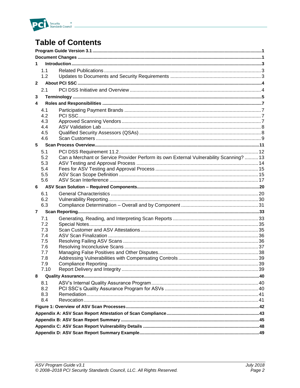

# **Table of Contents**

| 1              |            |                                                                                         |  |
|----------------|------------|-----------------------------------------------------------------------------------------|--|
|                | 1.1        |                                                                                         |  |
|                | 1.2        |                                                                                         |  |
| $\overline{2}$ |            |                                                                                         |  |
|                | 2.1        |                                                                                         |  |
| 3              |            |                                                                                         |  |
| 4              |            |                                                                                         |  |
|                | 4.1        |                                                                                         |  |
|                | 4.2        |                                                                                         |  |
|                | 4.3        |                                                                                         |  |
|                | 4.4        |                                                                                         |  |
|                | 4.5<br>4.6 |                                                                                         |  |
| 5              |            |                                                                                         |  |
|                |            |                                                                                         |  |
|                | 5.1<br>5.2 | Can a Merchant or Service Provider Perform its own External Vulnerability Scanning?  13 |  |
|                | 5.3        |                                                                                         |  |
|                | 5.4        |                                                                                         |  |
|                | 5.5        |                                                                                         |  |
|                | 5.6        |                                                                                         |  |
| 6.             |            |                                                                                         |  |
|                | 6.1        |                                                                                         |  |
|                | 6.2        |                                                                                         |  |
|                | 6.3        |                                                                                         |  |
| $\overline{7}$ |            |                                                                                         |  |
|                | 7.1        |                                                                                         |  |
|                | 7.2        |                                                                                         |  |
|                | 7.3<br>7.4 |                                                                                         |  |
|                | 7.5        |                                                                                         |  |
|                | 7.6        |                                                                                         |  |
|                | 7.7        |                                                                                         |  |
|                | 7.8        |                                                                                         |  |
|                | 7.9        |                                                                                         |  |
|                | 7.10       |                                                                                         |  |
| 8              |            |                                                                                         |  |
|                | 8.1        |                                                                                         |  |
|                | 8.2        |                                                                                         |  |
|                | 8.3<br>8.4 |                                                                                         |  |
|                |            |                                                                                         |  |
|                |            |                                                                                         |  |
|                |            |                                                                                         |  |
|                |            |                                                                                         |  |
|                |            |                                                                                         |  |
|                |            |                                                                                         |  |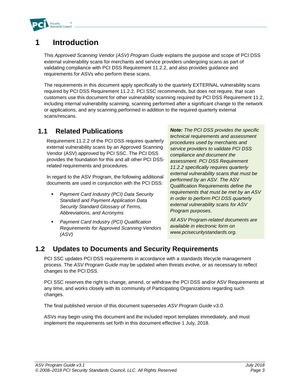

# <span id="page-3-0"></span>**1 Introduction**

This *Approved Scanning Vendor (ASV) Program Guide* explains the purpose and scope of PCI DSS external vulnerability scans for merchants and service providers undergoing scans as part of validating compliance with PCI DSS Requirement 11.2.2, and also provides guidance and requirements for ASVs who perform these scans.

The requirements in this document apply specifically to the quarterly EXTERNAL vulnerability scans required by PCI DSS Requirement 11.2.2. PCI SSC recommends, but does not require, that scan customers use this document for other vulnerability scanning required by PCI DSS Requirement 11.2, including internal vulnerability scanning, scanning performed after a significant change to the network or applications, and any scanning performed in addition to the required quarterly external scans/rescans.

## <span id="page-3-1"></span>**1.1 Related Publications**

Requirement 11.2.2 of the PCI DSS requires quarterly external vulnerability scans by an Approved Scanning Vendor (ASV) approved by PCI SSC. The PCI DSS provides the foundation for this and all other PCI DSSrelated requirements and procedures.

In regard to the ASV Program, the following additional documents are used in conjunction with the PCI DSS:

- *Payment Card Industry (PCI) Data Security Standard and Payment Application Data Security Standard Glossary of Terms, Abbreviations, and Acronyms*
- **Payment Card Industry (PCI) Qualification** *Requirements for Approved Scanning Vendors (ASV)*

*Note: The PCI DSS provides the specific technical requirements and assessment procedures used by merchants and service providers to validate PCI DSS compliance and document the assessment. PCI DSS Requirement 11.2.2 specifically requires quarterly external vulnerability scans that must be performed by an ASV. The* ASV Qualification Requirements *define the requirements that must be met by an ASV in order to perform PCI DSS quarterly external vulnerability scans for ASV Program purposes.*

*All ASV Program-related documents are available in electronic form on www.pcisecuritystandards.org.*

## <span id="page-3-2"></span>**1.2 Updates to Documents and Security Requirements**

PCI SSC updates PCI DSS requirements in accordance with a standards lifecycle management process. The *ASV Program Guide* may be updated when threats evolve, or as necessary to reflect changes to the PCI DSS.

PCI SSC reserves the right to change, amend, or withdraw the PCI DSS and/or ASV Requirements at any time, and works closely with its community of Participating Organizations regarding such changes.

The final published version of this document supersedes *ASV Program Guide v3.0.*

ASVs may begin using this document and the included report templates immediately, and must implement the requirements set forth in this document effective 1 July, 2018.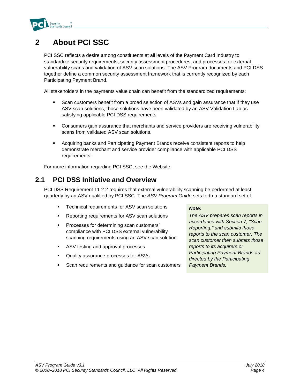

# <span id="page-4-0"></span>**2 About PCI SSC**

PCI SSC reflects a desire among constituents at all levels of the Payment Card Industry to standardize security requirements, security assessment procedures, and processes for external vulnerability scans and validation of ASV scan solutions. The ASV Program documents and PCI DSS together define a common security assessment framework that is currently recognized by each Participating Payment Brand.

All stakeholders in the payments value chain can benefit from the standardized requirements:

- Scan customers benefit from a broad selection of ASVs and gain assurance that if they use ASV scan solutions, those solutions have been validated by an ASV Validation Lab as satisfying applicable PCI DSS requirements.
- **•** Consumers gain assurance that merchants and service providers are receiving vulnerability scans from validated ASV scan solutions.
- **Acquiring banks and Participating Payment Brands receive consistent reports to help** demonstrate merchant and service provider compliance with applicable PCI DSS requirements.

For more information regarding PCI SSC, see the Website.

### <span id="page-4-1"></span>**2.1 PCI DSS Initiative and Overview**

PCI DSS Requirement 11.2.2 requires that external vulnerability scanning be performed at least quarterly by an ASV qualified by PCI SSC. The *ASV Program Guide* sets forth a standard set of:

- Technical requirements for ASV scan solutions
- Reporting requirements for ASV scan solutions
- Processes for determining scan customers' compliance with PCI DSS external vulnerability scanning requirements using an ASV scan solution
- ASV testing and approval processes
- Quality assurance processes for ASVs
- Scan requirements and guidance for scan customers

#### *Note:*

*The ASV prepares scan reports in accordance with Section 7, "Scan Reporting," and submits those reports to the scan customer. The scan customer then submits those reports to its acquirers or Participating Payment Brands as directed by the Participating Payment Brands.*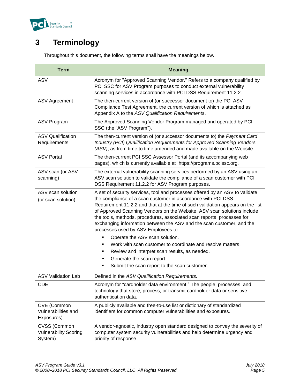

# <span id="page-5-0"></span>**3 Terminology**

| <b>Term</b>                                                                                                                                                                                                                                | <b>Meaning</b>                                                                                                                                                                                                                                                                                                                                                                                                                                                                                                                                                                                                                                                                                                                              |  |  |
|--------------------------------------------------------------------------------------------------------------------------------------------------------------------------------------------------------------------------------------------|---------------------------------------------------------------------------------------------------------------------------------------------------------------------------------------------------------------------------------------------------------------------------------------------------------------------------------------------------------------------------------------------------------------------------------------------------------------------------------------------------------------------------------------------------------------------------------------------------------------------------------------------------------------------------------------------------------------------------------------------|--|--|
| <b>ASV</b>                                                                                                                                                                                                                                 | Acronym for "Approved Scanning Vendor." Refers to a company qualified by<br>PCI SSC for ASV Program purposes to conduct external vulnerability<br>scanning services in accordance with PCI DSS Requirement 11.2.2.                                                                                                                                                                                                                                                                                                                                                                                                                                                                                                                          |  |  |
| <b>ASV Agreement</b>                                                                                                                                                                                                                       | The then-current version of (or successor document to) the PCI ASV<br>Compliance Test Agreement, the current version of which is attached as<br>Appendix A to the ASV Qualification Requirements.                                                                                                                                                                                                                                                                                                                                                                                                                                                                                                                                           |  |  |
| <b>ASV Program</b>                                                                                                                                                                                                                         | The Approved Scanning Vendor Program managed and operated by PCI<br>SSC (the "ASV Program").                                                                                                                                                                                                                                                                                                                                                                                                                                                                                                                                                                                                                                                |  |  |
| <b>ASV Qualification</b><br>Requirements                                                                                                                                                                                                   | The then-current version of (or successor documents to) the Payment Card<br>Industry (PCI) Qualification Requirements for Approved Scanning Vendors<br>(ASV), as from time to time amended and made available on the Website.                                                                                                                                                                                                                                                                                                                                                                                                                                                                                                               |  |  |
| <b>ASV Portal</b>                                                                                                                                                                                                                          | The then-current PCI SSC Assessor Portal (and its accompanying web<br>pages), which is currently available at https://programs.pcissc.org.                                                                                                                                                                                                                                                                                                                                                                                                                                                                                                                                                                                                  |  |  |
| ASV scan (or ASV<br>The external vulnerability scanning services performed by an ASV using an<br>ASV scan solution to validate the compliance of a scan customer with PCI<br>scanning)<br>DSS Requirement 11.2.2 for ASV Program purposes. |                                                                                                                                                                                                                                                                                                                                                                                                                                                                                                                                                                                                                                                                                                                                             |  |  |
| ASV scan solution<br>(or scan solution)                                                                                                                                                                                                    | A set of security services, tool and processes offered by an ASV to validate<br>the compliance of a scan customer in accordance with PCI DSS<br>Requirement 11.2.2 and that at the time of such validation appears on the list<br>of Approved Scanning Vendors on the Website. ASV scan solutions include<br>the tools, methods, procedures, associated scan reports, processes for<br>exchanging information between the ASV and the scan customer, and the<br>processes used by ASV Employees to:<br>Operate the ASV scan solution.<br>٠<br>Work with scan customer to coordinate and resolve matters.<br>Review and interpret scan results, as needed.<br>٠<br>Generate the scan report.<br>Submit the scan report to the scan customer. |  |  |
| <b>ASV Validation Lab</b>                                                                                                                                                                                                                  | Defined in the ASV Qualification Requirements.                                                                                                                                                                                                                                                                                                                                                                                                                                                                                                                                                                                                                                                                                              |  |  |
| CDE                                                                                                                                                                                                                                        | Acronym for "cardholder data environment." The people, processes, and<br>technology that store, process, or transmit cardholder data or sensitive<br>authentication data.                                                                                                                                                                                                                                                                                                                                                                                                                                                                                                                                                                   |  |  |
| CVE (Common<br>Vulnerabilities and<br>Exposures)                                                                                                                                                                                           | A publicly available and free-to-use list or dictionary of standardized<br>identifiers for common computer vulnerabilities and exposures.                                                                                                                                                                                                                                                                                                                                                                                                                                                                                                                                                                                                   |  |  |
| CVSS (Common<br><b>Vulnerability Scoring</b><br>System)                                                                                                                                                                                    | A vendor-agnostic, industry open standard designed to convey the severity of<br>computer system security vulnerabilities and help determine urgency and<br>priority of response.                                                                                                                                                                                                                                                                                                                                                                                                                                                                                                                                                            |  |  |

Throughout this document, the following terms shall have the meanings below.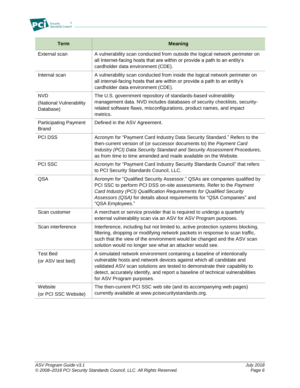

| <b>Term</b>                                        | <b>Meaning</b>                                                                                                                                                                                                                                                                                                                               |  |
|----------------------------------------------------|----------------------------------------------------------------------------------------------------------------------------------------------------------------------------------------------------------------------------------------------------------------------------------------------------------------------------------------------|--|
| External scan                                      | A vulnerability scan conducted from outside the logical network perimeter on<br>all Internet-facing hosts that are within or provide a path to an entity's<br>cardholder data environment (CDE).                                                                                                                                             |  |
| Internal scan                                      | A vulnerability scan conducted from inside the logical network perimeter on<br>all internal-facing hosts that are within or provide a path to an entity's<br>cardholder data environment (CDE).                                                                                                                                              |  |
| <b>NVD</b><br>(National Vulnerability<br>Database) | The U.S. government repository of standards-based vulnerability<br>management data. NVD includes databases of security checklists, security-<br>related software flaws, misconfigurations, product names, and impact<br>metrics.                                                                                                             |  |
| <b>Participating Payment</b><br><b>Brand</b>       | Defined in the ASV Agreement.                                                                                                                                                                                                                                                                                                                |  |
| PCI DSS                                            | Acronym for "Payment Card Industry Data Security Standard." Refers to the<br>then-current version of (or successor documents to) the Payment Card<br>Industry (PCI) Data Security Standard and Security Assessment Procedures,<br>as from time to time amended and made available on the Website.                                            |  |
| PCI SSC                                            | Acronym for "Payment Card Industry Security Standards Council" that refers<br>to PCI Security Standards Council, LLC.                                                                                                                                                                                                                        |  |
| QSA                                                | Acronym for "Qualified Security Assessor." QSAs are companies qualified by<br>PCI SSC to perform PCI DSS on-site assessments. Refer to the Payment<br>Card Industry (PCI) Qualification Requirements for Qualified Security<br>Assessors (QSA) for details about requirements for "QSA Companies" and<br>"QSA Employees."                    |  |
| Scan customer                                      | A merchant or service provider that is required to undergo a quarterly<br>external vulnerability scan via an ASV for ASV Program purposes.                                                                                                                                                                                                   |  |
| Scan interference                                  | Interference, including but not limited to, active protection systems blocking,<br>filtering, dropping or modifying network packets in response to scan traffic,<br>such that the view of the environment would be changed and the ASV scan<br>solution would no longer see what an attacker would see.                                      |  |
| <b>Test Bed</b><br>(or ASV test bed)               | A simulated network environment containing a baseline of intentionally<br>vulnerable hosts and network devices against which all candidate and<br>validated ASV scan solutions are tested to demonstrate their capability to<br>detect, accurately identify, and report a baseline of technical vulnerabilities<br>for ASV Program purposes. |  |
| Website<br>(or PCI SSC Website)                    | The then-current PCI SSC web site (and its accompanying web pages)<br>currently available at www.pcisecuritystandards.org.                                                                                                                                                                                                                   |  |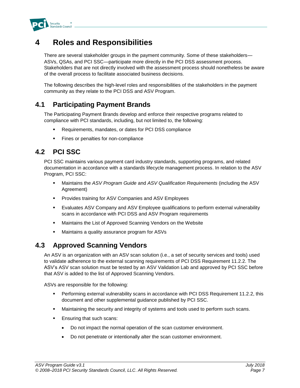

# <span id="page-7-0"></span>**4 Roles and Responsibilities**

There are several stakeholder groups in the payment community. Some of these stakeholders— ASVs, QSAs, and PCI SSC—participate more directly in the PCI DSS assessment process. Stakeholders that are not directly involved with the assessment process should nonetheless be aware of the overall process to facilitate associated business decisions.

The following describes the high-level roles and responsibilities of the stakeholders in the payment community as they relate to the PCI DSS and ASV Program.

### <span id="page-7-1"></span>**4.1 Participating Payment Brands**

The Participating Payment Brands develop and enforce their respective programs related to compliance with PCI standards, including, but not limited to, the following:

- Requirements, mandates, or dates for PCI DSS compliance
- **EXECT:** Fines or penalties for non-compliance

## <span id="page-7-2"></span>**4.2 PCI SSC**

PCI SSC maintains various payment card industry standards, supporting programs, and related documentation in accordance with a standards lifecycle management process. In relation to the ASV Program, PCI SSC:

- Maintains the *ASV Program Guide* and *ASV Qualification Requirements* (including the ASV Agreement)
- Provides training for ASV Companies and ASV Employees
- Evaluates ASV Company and ASV Employee qualifications to perform external vulnerability scans in accordance with PCI DSS and ASV Program requirements
- Maintains the List of Approved Scanning Vendors on the Website
- Maintains a quality assurance program for ASVs

### <span id="page-7-3"></span>**4.3 Approved Scanning Vendors**

An ASV is an organization with an ASV scan solution (i.e., a set of security services and tools) used to validate adherence to the external scanning requirements of PCI DSS Requirement 11.2.2. The ASV's ASV scan solution must be tested by an ASV Validation Lab and approved by PCI SSC before that ASV is added to the list of Approved Scanning Vendors*.*

ASVs are responsible for the following:

- **•** Performing external vulnerability scans in accordance with PCI DSS Requirement 11.2.2, this document and other supplemental guidance published by PCI SSC.
- **■** Maintaining the security and integrity of systems and tools used to perform such scans.
- Ensuring that such scans:
	- Do not impact the normal operation of the scan customer environment.
	- Do not penetrate or intentionally alter the scan customer environment.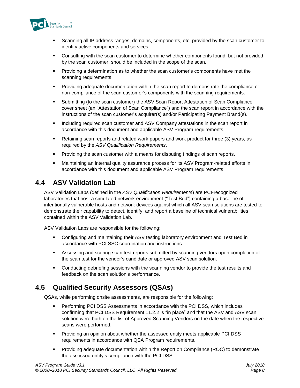

- **•** Scanning all IP address ranges, domains, components, etc. provided by the scan customer to identify active components and services.
- **•** Consulting with the scan customer to determine whether components found, but not provided by the scan customer, should be included in the scope of the scan.
- Providing a determination as to whether the scan customer's components have met the scanning requirements.
- **•** Providing adequate documentation within the scan report to demonstrate the compliance or non-compliance of the scan customer's components with the scanning requirements.
- Submitting (to the scan customer) the ASV Scan Report Attestation of Scan Compliance cover sheet (an "Attestation of Scan Compliance") and the scan report in accordance with the instructions of the scan customer's acquirer(s) and/or Participating Payment Brand(s).
- **■** Including required scan customer and ASV Company attestations in the scan report in accordance with this document and applicable ASV Program requirements.
- Retaining scan reports and related work papers and work product for three (3) years, as required by the *ASV Qualification Requirements*.
- Providing the scan customer with a means for disputing findings of scan reports.
- **■** Maintaining an internal quality assurance process for its ASV Program-related efforts in accordance with this document and applicable ASV Program requirements.

### <span id="page-8-0"></span>**4.4 ASV Validation Lab**

ASV Validation Labs (defined in the *ASV Qualification Requirements*) are PCI-recognized laboratories that host a simulated network environment ("Test Bed") containing a baseline of intentionally vulnerable hosts and network devices against which all ASV scan solutions are tested to demonstrate their capability to detect, identify, and report a baseline of technical vulnerabilities contained within the ASV Validation Lab.

ASV Validation Labs are responsible for the following:

- **Configuring and maintaining their ASV testing laboratory environment and Test Bed in** accordance with PCI SSC coordination and instructions.
- **EXECTS Assessing and scoring scan test reports submitted by scanning vendors upon completion of** the scan test for the vendor's candidate or approved ASV scan solution.
- **•** Conducting debriefing sessions with the scanning vendor to provide the test results and feedback on the scan solution's performance.

## <span id="page-8-1"></span>**4.5 Qualified Security Assessors (QSAs)**

QSAs, while performing onsite assessments, are responsible for the following:

- **•** Performing PCI DSS Assessments in accordance with the PCI DSS, which includes confirming that PCI DSS Requirement 11.2.2 is "in place" and that the ASV and ASV scan solution were both on the list of Approved Scanning Vendors on the date when the respective scans were performed.
- Providing an opinion about whether the assessed entity meets applicable PCI DSS requirements in accordance with QSA Program requirements.
- Providing adequate documentation within the Report on Compliance (ROC) to demonstrate the assessed entity's compliance with the PCI DSS.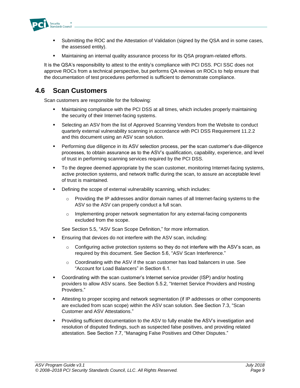

- Submitting the ROC and the Attestation of Validation (signed by the QSA and in some cases, the assessed entity).
- Maintaining an internal quality assurance process for its QSA program-related efforts.

It is the QSA's responsibility to attest to the entity's compliance with PCI DSS. PCI SSC does not approve ROCs from a technical perspective, but performs QA reviews on ROCs to help ensure that the documentation of test procedures performed is sufficient to demonstrate compliance.

### <span id="page-9-0"></span>**4.6 Scan Customers**

Scan customers are responsible for the following:

- Maintaining compliance with the PCI DSS at all times, which includes properly maintaining the security of their Internet-facing systems.
- Selecting an ASV from the list of Approved Scanning Vendors from the Website to conduct quarterly external vulnerability scanning in accordance with PCI DSS Requirement 11.2.2 and this document using an ASV scan solution.
- Performing due diligence in its ASV selection process, per the scan customer's due-diligence processes, to obtain assurance as to the ASV's qualification, capability, experience, and level of trust in performing scanning services required by the PCI DSS.
- To the degree deemed appropriate by the scan customer, monitoring Internet-facing systems, active protection systems, and network traffic during the scan, to assure an acceptable level of trust is maintained.
- Defining the scope of external vulnerability scanning, which includes:
	- o Providing the IP addresses and/or domain names of all Internet-facing systems to the ASV so the ASV can properly conduct a full scan.
	- o Implementing proper network segmentation for any external-facing components excluded from the scope.

See Section 5.5, "ASV Scan Scope Definition," for more information.

- Ensuring that devices do not interfere with the ASV scan, including:
	- $\circ$  Configuring active protection systems so they do not interfere with the ASV's scan, as required by this document. See Section 5.6, "ASV Scan Interference."
	- $\circ$  Coordinating with the ASV if the scan customer has load balancers in use. See "Account for Load Balancers" in Section 6.1.
- Coordinating with the scan customer's Internet service provider (ISP) and/or hosting providers to allow ASV scans. See Section 5.5.2, "Internet Service Providers and Hosting Providers."
- **■** Attesting to proper scoping and network segmentation (if IP addresses or other components are excluded from scan scope) within the ASV scan solution. See Section 7.3, "Scan Customer and ASV Attestations."
- **•** Providing sufficient documentation to the ASV to fully enable the ASV's investigation and resolution of disputed findings, such as suspected false positives, and providing related attestation. See Section 7.7, "Managing False Positives and Other Disputes."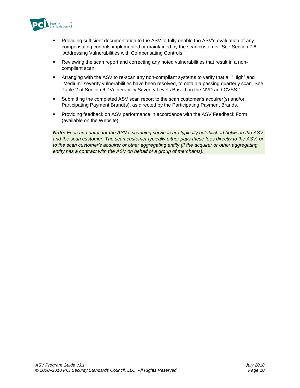

- **•** Providing sufficient documentation to the ASV to fully enable the ASV's evaluation of any compensating controls implemented or maintained by the scan customer. See Section 7.8, "Addressing Vulnerabilities with Compensating Controls."
- Reviewing the scan report and correcting any noted vulnerabilities that result in a noncompliant scan.
- Arranging with the ASV to re-scan any non-compliant systems to verify that all "High" and "Medium" severity vulnerabilities have been resolved, to obtain a passing quarterly scan. See Table 2 of Section 6, "Vulnerability Severity Levels Based on the NVD and CVSS."
- Submitting the completed ASV scan report to the scan customer's acquirer(s) and/or Participating Payment Brand(s), as directed by the Participating Payment Brands.
- **•** Providing feedback on ASV performance in accordance with the ASV Feedback Form (available on the Website).

*Note: Fees and dates for the ASV's scanning services are typically established between the ASV and the scan customer. The scan customer typically either pays these fees directly to the ASV, or to the scan customer's acquirer or other aggregating entity (if the acquirer or other aggregating entity has a contract with the ASV on behalf of a group of merchants).*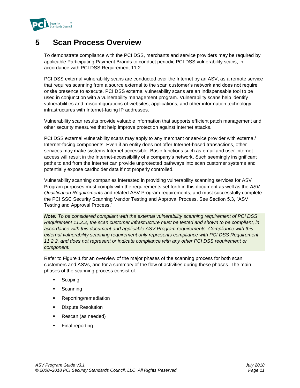

# <span id="page-11-0"></span>**5 Scan Process Overview**

To demonstrate compliance with the PCI DSS, merchants and service providers may be required by applicable Participating Payment Brands to conduct periodic PCI DSS vulnerability scans, in accordance with PCI DSS Requirement 11.2.

PCI DSS external vulnerability scans are conducted over the Internet by an ASV, as a remote service that requires scanning from a source external to the scan customer's network and does not require onsite presence to execute. PCI DSS external vulnerability scans are an indispensable tool to be used in conjunction with a vulnerability management program. Vulnerability scans help identify vulnerabilities and misconfigurations of websites, applications, and other information technology infrastructures with Internet-facing IP addresses.

Vulnerability scan results provide valuable information that supports efficient patch management and other security measures that help improve protection against Internet attacks.

PCI DSS external vulnerability scans may apply to any merchant or service provider with external/ Internet-facing components. Even if an entity does not offer Internet-based transactions, other services may make systems Internet accessible. Basic functions such as email and user Internet access will result in the Internet-accessibility of a company's network. Such seemingly insignificant paths to and from the Internet can provide unprotected pathways into scan customer systems and potentially expose cardholder data if not properly controlled.

Vulnerability scanning companies interested in providing vulnerability scanning services for ASV Program purposes must comply with the requirements set forth in this document as well as the *ASV Qualification Requirements* and related ASV Program requirements, and must successfully complete the PCI SSC Security Scanning Vendor Testing and Approval Process. See Section 5.3, "ASV Testing and Approval Process."

*Note: To be considered compliant with the external vulnerability scanning requirement of PCI DSS Requirement 11.2.2, the scan customer infrastructure must be tested and shown to be compliant, in accordance with this document and applicable ASV Program requirements. Compliance with this external vulnerability scanning requirement only represents compliance with PCI DSS Requirement 11.2.2, and does not represent or indicate compliance with any other PCI DSS requirement or component.*

Refer to Figure 1 for an overview of the major phases of the scanning process for both scan customers and ASVs, and for a summary of the flow of activities during these phases. The main phases of the scanning process consist of:

- Scoping
- Scanning
- Reporting/remediation
- Dispute Resolution
- Rescan (as needed)
- Final reporting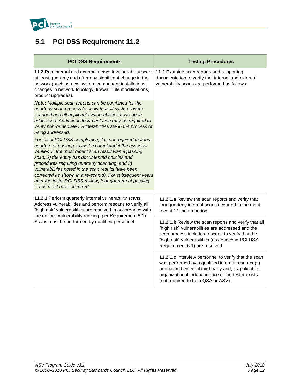

# <span id="page-12-0"></span>**5.1 PCI DSS Requirement 11.2**

| <b>PCI DSS Requirements</b>                                                                                                                                                                                                                                                                                                                                                                                                                                                                                                                                                                                                      | <b>Testing Procedures</b>                                                                                                                                                                                                                                    |
|----------------------------------------------------------------------------------------------------------------------------------------------------------------------------------------------------------------------------------------------------------------------------------------------------------------------------------------------------------------------------------------------------------------------------------------------------------------------------------------------------------------------------------------------------------------------------------------------------------------------------------|--------------------------------------------------------------------------------------------------------------------------------------------------------------------------------------------------------------------------------------------------------------|
| 11.2 Run internal and external network vulnerability scans 11.2 Examine scan reports and supporting<br>at least quarterly and after any significant change in the<br>network (such as new system component installations,<br>changes in network topology, firewall rule modifications,<br>product upgrades).<br>Note: Multiple scan reports can be combined for the<br>quarterly scan process to show that all systems were<br>scanned and all applicable vulnerabilities have been<br>addressed. Additional documentation may be required to<br>verify non-remediated vulnerabilities are in the process of<br>being addressed. | documentation to verify that internal and external<br>vulnerability scans are performed as follows:                                                                                                                                                          |
| For initial PCI DSS compliance, it is not required that four<br>quarters of passing scans be completed if the assessor<br>verifies 1) the most recent scan result was a passing<br>scan, 2) the entity has documented policies and<br>procedures requiring quarterly scanning, and 3)<br>vulnerabilities noted in the scan results have been<br>corrected as shown in a re-scan(s). For subsequent years<br>after the initial PCI DSS review, four quarters of passing<br>scans must have occurred                                                                                                                               |                                                                                                                                                                                                                                                              |
| 11.2.1 Perform quarterly internal vulnerability scans.<br>Address vulnerabilities and perform rescans to verify all<br>"high risk" vulnerabilities are resolved in accordance with<br>the entity's vulnerability ranking (per Requirement 6.1).                                                                                                                                                                                                                                                                                                                                                                                  | 11.2.1.a Review the scan reports and verify that<br>four quarterly internal scans occurred in the most<br>recent 12-month period.                                                                                                                            |
| Scans must be performed by qualified personnel.                                                                                                                                                                                                                                                                                                                                                                                                                                                                                                                                                                                  | 11.2.1.b Review the scan reports and verify that all<br>"high risk" vulnerabilities are addressed and the<br>scan process includes rescans to verify that the<br>"high risk" vulnerabilities (as defined in PCI DSS<br>Requirement 6.1) are resolved.        |
|                                                                                                                                                                                                                                                                                                                                                                                                                                                                                                                                                                                                                                  | 11.2.1.c Interview personnel to verify that the scan<br>was performed by a qualified internal resource(s)<br>or qualified external third party and, if applicable,<br>organizational independence of the tester exists<br>(not required to be a QSA or ASV). |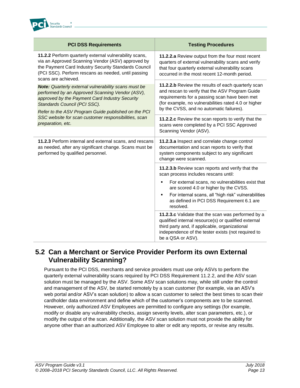

| <b>PCI DSS Requirements</b>                                                                                                                                                                                                                             | <b>Testing Procedures</b>                                                                                                                                                                                                                                  |
|---------------------------------------------------------------------------------------------------------------------------------------------------------------------------------------------------------------------------------------------------------|------------------------------------------------------------------------------------------------------------------------------------------------------------------------------------------------------------------------------------------------------------|
| 11.2.2 Perform quarterly external vulnerability scans,<br>via an Approved Scanning Vendor (ASV) approved by<br>the Payment Card Industry Security Standards Council<br>(PCI SSC). Perform rescans as needed, until passing<br>scans are achieved.       | 11.2.2.a Review output from the four most recent<br>quarters of external vulnerability scans and verify<br>that four quarterly external vulnerability scans<br>occurred in the most recent 12-month period.                                                |
| <b>Note:</b> Quarterly external vulnerability scans must be<br>performed by an Approved Scanning Vendor (ASV),<br>approved by the Payment Card Industry Security<br>Standards Council (PCI SSC).<br>Refer to the ASV Program Guide published on the PCI | 11.2.2.b Review the results of each quarterly scan<br>and rescan to verify that the ASV Program Guide<br>requirements for a passing scan have been met<br>(for example, no vulnerabilities rated 4.0 or higher<br>by the CVSS, and no automatic failures). |
| SSC website for scan customer responsibilities, scan<br>preparation, etc.                                                                                                                                                                               | 11.2.2.c Review the scan reports to verify that the<br>scans were completed by a PCI SSC Approved<br>Scanning Vendor (ASV).                                                                                                                                |
| 11.2.3 Perform internal and external scans, and rescans<br>as needed, after any significant change. Scans must be<br>performed by qualified personnel.                                                                                                  | 11.2.3.a Inspect and correlate change control<br>documentation and scan reports to verify that<br>system components subject to any significant<br>change were scanned.                                                                                     |
|                                                                                                                                                                                                                                                         | 11.2.3.b Review scan reports and verify that the<br>scan process includes rescans until:                                                                                                                                                                   |
|                                                                                                                                                                                                                                                         | For external scans, no vulnerabilities exist that<br>٠<br>are scored 4.0 or higher by the CVSS.<br>For internal scans, all "high risk" vulnerabilities<br>٠<br>as defined in PCI DSS Requirement 6.1 are<br>resolved.                                      |
|                                                                                                                                                                                                                                                         | 11.2.3.c Validate that the scan was performed by a<br>qualified internal resource(s) or qualified external<br>third party and, if applicable, organizational<br>independence of the tester exists (not required to<br>be a QSA or ASV).                    |

### <span id="page-13-0"></span>**5.2 Can a Merchant or Service Provider Perform its own External Vulnerability Scanning?**

Pursuant to the PCI DSS, merchants and service providers must use only ASVs to perform the quarterly external vulnerability scans required by PCI DSS Requirement 11.2.2, and the ASV scan solution must be managed by the ASV. Some ASV scan solutions may, while still under the control and management of the ASV, be started remotely by a scan customer (for example, via an ASV's web portal and/or ASV's scan solution) to allow a scan customer to select the best times to scan their cardholder data environment and define which of the customer's components are to be scanned. However, only authorized ASV Employees are permitted to configure any settings (for example, modify or disable any vulnerability checks, assign severity levels, alter scan parameters, etc.), or modify the output of the scan. Additionally, the ASV scan solution must not provide the ability for anyone other than an authorized ASV Employee to alter or edit any reports, or revise any results.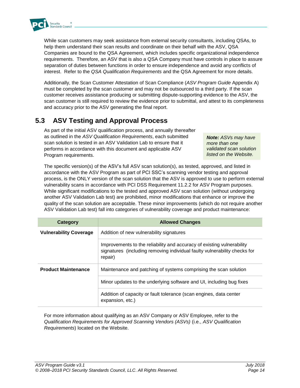

While scan customers may seek assistance from external security consultants, including QSAs, to help them understand their scan results and coordinate on their behalf with the ASV, QSA Companies are bound to the QSA Agreement, which includes specific organizational independence requirements. Therefore, an ASV that is also a QSA Company must have controls in place to assure separation of duties between functions in order to ensure independence and avoid any conflicts of interest. Refer to the *QSA Qualification Requirements* and the QSA Agreement for more details.

Additionally, the Scan Customer Attestation of Scan Compliance (*ASV Program Guide* Appendix A) must be completed by the scan customer and may not be outsourced to a third party. If the scan customer receives assistance producing or submitting dispute-supporting evidence to the ASV, the scan customer is still required to review the evidence prior to submittal, and attest to its completeness and accuracy prior to the ASV generating the final report.

## <span id="page-14-0"></span>**5.3 ASV Testing and Approval Process**

As part of the initial ASV qualification process, and annually thereafter as outlined in the *ASV Qualification Requirements*, each submitted scan solution is tested in an ASV Validation Lab to ensure that it performs in accordance with this document and applicable ASV Program requirements.

*Note: ASVs may have more than one validated scan solution listed on the Website.*

The specific version(s) of the ASV's full ASV scan solution(s), as tested, approved, and listed in accordance with the ASV Program as part of PCI SSC's scanning vendor testing and approval process, is the ONLY version of the scan solution that the ASV is approved to use to perform external vulnerability scans in accordance with PCI DSS Requirement 11.2.2 for ASV Program purposes. While significant modifications to the tested and approved ASV scan solution (without undergoing another ASV Validation Lab test) are prohibited, minor modifications that enhance or improve the quality of the scan solution are acceptable. These minor improvements (which do not require another ASV Validation Lab test) fall into categories of vulnerability coverage and product maintenance:

| Category                      | <b>Allowed Changes</b>                                                                                                                                         |
|-------------------------------|----------------------------------------------------------------------------------------------------------------------------------------------------------------|
| <b>Vulnerability Coverage</b> | Addition of new vulnerability signatures                                                                                                                       |
|                               | Improvements to the reliability and accuracy of existing vulnerability<br>signatures (including removing individual faulty vulnerability checks for<br>repair) |
| <b>Product Maintenance</b>    | Maintenance and patching of systems comprising the scan solution                                                                                               |
|                               | Minor updates to the underlying software and UI, including bug fixes                                                                                           |
|                               | Addition of capacity or fault tolerance (scan engines, data center<br>expansion, etc.)                                                                         |

For more information about qualifying as an ASV Company or ASV Employee, refer to the *Qualification Requirements for Approved Scanning Vendors (ASVs)* (i.e., *ASV Qualification Requirements*) located on the Website.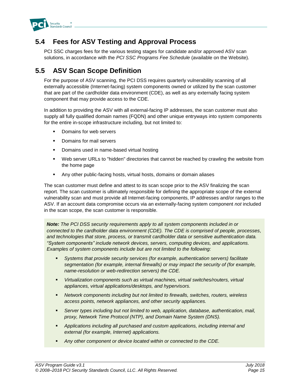

### <span id="page-15-0"></span>**5.4 Fees for ASV Testing and Approval Process**

PCI SSC charges fees for the various testing stages for candidate and/or approved ASV scan solutions, in accordance with the *PCI SSC Programs Fee Schedule* (available on the Website)*.*

## <span id="page-15-1"></span>**5.5 ASV Scan Scope Definition**

For the purpose of ASV scanning, the PCI DSS requires quarterly vulnerability scanning of all externally accessible (Internet-facing) system components owned or utilized by the scan customer that are part of the cardholder data environment (CDE), as well as any externally facing system component that may provide access to the CDE.

In addition to providing the ASV with all external-facing IP addresses, the scan customer must also supply all fully qualified domain names (FQDN) and other unique entryways into system components for the entire in-scope infrastructure including, but not limited to:

- Domains for web servers
- Domains for mail servers
- Domains used in name-based virtual hosting
- **•** Web server URLs to "hidden" directories that cannot be reached by crawling the website from the home page
- Any other public-facing hosts, virtual hosts, domains or domain aliases

The scan customer must define and attest to its scan scope prior to the ASV finalizing the scan report. The scan customer is ultimately responsible for defining the appropriate scope of the external vulnerability scan and must provide all Internet-facing components, IP addresses and/or ranges to the ASV. If an account data compromise occurs via an externally-facing system component *not* included in the scan scope, the scan customer is responsible.

*Note: The PCI DSS security requirements apply to all system components included in or connected to the cardholder data environment (CDE). The CDE is comprised of people, processes, and technologies that store, process, or transmit cardholder data or sensitive authentication data. "System components" include network devices, servers, computing devices, and applications. Examples of system components include but are not limited to the following:*

- *Systems that provide security services (for example, authentication servers) facilitate segmentation (for example, internal firewalls) or may impact the security of (for example, name-resolution or web-redirection servers) the CDE.*
- *Virtualization components such as virtual machines, virtual switches/routers, virtual appliances, virtual applications/desktops, and hypervisors.*
- *Network components including but not limited to firewalls, switches, routers, wireless access points, network appliances, and other security appliances.*
- Server types including but not limited to web, application, database, authentication, mail, *proxy, Network Time Protocol (NTP), and Domain Name System (DNS).*
- *Applications including all purchased and custom applications, including internal and external (for example, Internet) applications.*
- *Any other component or device located within or connected to the CDE.*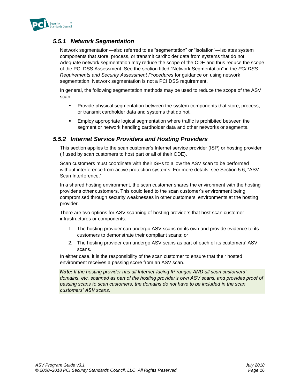

### *5.5.1 Network Segmentation*

Network segmentation—also referred to as "segmentation" or "isolation"—isolates system components that store, process, or transmit cardholder data from systems that do not. Adequate network segmentation may reduce the scope of the CDE and thus reduce the scope of the PCI DSS Assessment. See the section titled "Network Segmentation" in the *PCI DSS Requirements and Security Assessment Procedures* for guidance on using network segmentation. Network segmentation is not a PCI DSS requirement.

In general, the following segmentation methods may be used to reduce the scope of the ASV scan:

- Provide physical segmentation between the system components that store, process, or transmit cardholder data and systems that do not.
- Employ appropriate logical segmentation where traffic is prohibited between the segment or network handling cardholder data and other networks or segments.

### *5.5.2 Internet Service Providers and Hosting Providers*

This section applies to the scan customer's Internet service provider (ISP) or hosting provider (if used by scan customers to host part or all of their CDE).

Scan customers must coordinate with their ISPs to allow the ASV scan to be performed without interference from active protection systems. For more details, see Section 5.6, "ASV Scan Interference."

In a shared hosting environment, the scan customer shares the environment with the hosting provider's other customers. This could lead to the scan customer's environment being compromised through security weaknesses in other customers' environments at the hosting provider.

There are two options for ASV scanning of hosting providers that host scan customer infrastructures or components:

- 1. The hosting provider can undergo ASV scans on its own and provide evidence to its customers to demonstrate their compliant scans; or
- 2. The hosting provider can undergo ASV scans as part of each of its customers' ASV scans.

In either case, it is the responsibility of the scan customer to ensure that their hosted environment receives a passing score from an ASV scan.

*Note: If the hosting provider has all Internet-facing IP ranges AND all scan customers' domains, etc. scanned as part of the hosting provider's own ASV scans, and provides proof of passing scans to scan customers, the domains do not have to be included in the scan customers' ASV scans.*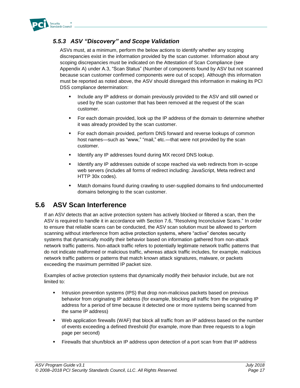

### *5.5.3 ASV "Discovery" and Scope Validation*

ASVs must, at a minimum, perform the below actions to identify whether any scoping discrepancies exist in the information provided by the scan customer. Information about any scoping discrepancies must be indicated on the Attestation of Scan Compliance (see Appendix A) under A.3, "Scan Status" (Number of components found by ASV but not scanned because scan customer confirmed components were out of scope). Although this information must be reported as noted above, the ASV should disregard this information in making its PCI DSS compliance determination:

- **EXECT** Include any IP address or domain previously provided to the ASV and still owned or used by the scan customer that has been removed at the request of the scan customer.
- **•** For each domain provided, look up the IP address of the domain to determine whether it was already provided by the scan customer.
- For each domain provided, perform DNS forward and reverse lookups of common host names—such as "www," "mail," etc.—that were not provided by the scan customer.
- **EXECT** Identify any IP addresses found during MX record DNS lookup.
- **EXECT** Identify any IP addresses outside of scope reached via web redirects from in-scope web servers (includes all forms of redirect including: JavaScript, Meta redirect and HTTP 30x codes).
- Match domains found during crawling to user-supplied domains to find undocumented domains belonging to the scan customer.

### <span id="page-17-0"></span>**5.6 ASV Scan Interference**

If an ASV detects that an active protection system has actively blocked or filtered a scan, then the ASV is required to handle it in accordance with Section 7.6, "Resolving Inconclusive Scans." In order to ensure that reliable scans can be conducted, the ASV scan solution must be allowed to perform scanning without interference from active protection systems, where "active" denotes security systems that dynamically modify their behavior based on information gathered from non-attack network traffic patterns. Non-attack traffic refers to potentially legitimate network traffic patterns that do not indicate malformed or malicious traffic, whereas attack traffic includes, for example, malicious network traffic patterns or patterns that match known attack signatures, malware, or packets exceeding the maximum permitted IP packet size.

Examples of active protection systems that dynamically modify their behavior include, but are not limited to:

- **•** Intrusion prevention systems (IPS) that drop non-malicious packets based on previous behavior from originating IP address (for example, blocking all traffic from the originating IP address for a period of time because it detected one or more systems being scanned from the same IP address)
- Web application firewalls (WAF) that block all traffic from an IP address based on the number of events exceeding a defined threshold (for example, more than three requests to a login page per second)
- **•** Firewalls that shun/block an IP address upon detection of a port scan from that IP address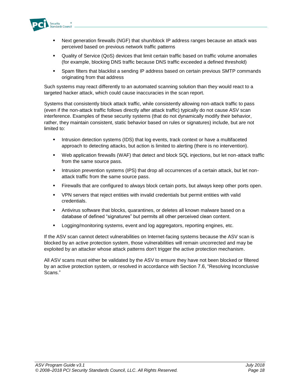

- **■** Next generation firewalls (NGF) that shun/block IP address ranges because an attack was perceived based on previous network traffic patterns
- Quality of Service (QoS) devices that limit certain traffic based on traffic volume anomalies (for example, blocking DNS traffic because DNS traffic exceeded a defined threshold)
- Spam filters that blacklist a sending IP address based on certain previous SMTP commands originating from that address

Such systems may react differently to an automated scanning solution than they would react to a targeted hacker attack, which could cause inaccuracies in the scan report.

Systems that consistently block attack traffic, while consistently allowing non-attack traffic to pass (even if the non-attack traffic follows directly after attack traffic) typically do not cause ASV scan interference. Examples of these security systems (that do not dynamically modify their behavior, rather, they maintain consistent, static behavior based on rules or signatures) include, but are not limited to:

- Intrusion detection systems (IDS) that log events, track context or have a multifaceted approach to detecting attacks, but action is limited to alerting (there is no intervention).
- Web application firewalls (WAF) that detect and block SQL injections, but let non-attack traffic from the same source pass.
- **■** Intrusion prevention systems (IPS) that drop all occurrences of a certain attack, but let nonattack traffic from the same source pass.
- **•** Firewalls that are configured to always block certain ports, but always keep other ports open.
- VPN servers that reject entities with invalid credentials but permit entities with valid credentials.
- **EXED Antivirus software that blocks, quarantines, or deletes all known malware based on a** database of defined "signatures" but permits all other perceived clean content.
- Logging/monitoring systems, event and log aggregators, reporting engines, etc.

If the ASV scan cannot detect vulnerabilities on Internet-facing systems because the ASV scan is blocked by an active protection system, those vulnerabilities will remain uncorrected and may be exploited by an attacker whose attack patterns don't trigger the active protection mechanism.

All ASV scans must either be validated by the ASV to ensure they have not been blocked or filtered by an active protection system, or resolved in accordance with Section 7.6, "Resolving Inconclusive Scans."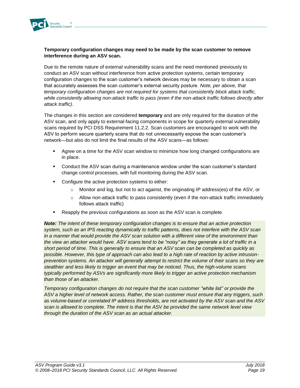

### **Temporary configuration changes may need to be made by the scan customer to remove interference during an ASV scan.**

Due to the remote nature of external vulnerability scans and the need mentioned previously to conduct an ASV scan without interference from active protection systems, certain temporary configuration changes to the scan customer's network devices may be necessary to obtain a scan that accurately assesses the scan customer's external security posture. *Note, per above, that temporary configuration changes are not required for systems that consistently block attack traffic, while consistently allowing non-attack traffic to pass (even if the non-attack traffic follows directly after attack traffic)*.

The changes in this section are considered **temporary** and are only required for the duration of the ASV scan, and only apply to external-facing components in scope for quarterly external vulnerability scans required by PCI DSS Requirement 11.2.2. Scan customers are encouraged to work with the ASV to perform secure quarterly scans that do not unnecessarily expose the scan customer's network—but also do not limit the final results of the ASV scans—as follows:

- Agree on a time for the ASV scan window to minimize how long changed configurations are in place.
- Conduct the ASV scan during a maintenance window under the scan customer's standard change control processes, with full monitoring during the ASV scan.
- Configure the active protection systems to either:
	- o Monitor and log, but not to act against, the originating IP address(es) of the ASV, or
	- $\circ$  Allow non-attack traffic to pass consistently (even if the non-attack traffic immediately follows attack traffic)
- Reapply the previous configurations as soon as the ASV scan is complete.

*Note: The intent of these temporary configuration changes is to ensure that an active protection system, such as an IPS reacting dynamically to traffic patterns, does not interfere with the ASV scan in a manner that would provide the ASV scan solution with a different view of the environment than the view an attacker would have. ASV scans tend to be "noisy" as they generate a lot of traffic in a short period of time. This is generally to ensure that an ASV scan can be completed as quickly as possible. However, this type of approach can also lead to a high rate of reaction by active intrusionprevention systems. An attacker will generally attempt to restrict the volume of their scans so they are stealthier and less likely to trigger an event that may be noticed. Thus, the high-volume scans typically performed by ASVs are significantly more likely to trigger an active protection mechanism than those of an attacker.*

*Temporary configuration changes do not require that the scan customer "white list" or provide the ASV a higher level of network access. Rather, the scan customer must ensure that any triggers, such as volume-based or correlated IP address thresholds, are not activated by the ASV scan and the ASV scan is allowed to complete. The intent is that the ASV be provided the same network level view through the duration of the ASV scan as an actual attacker.*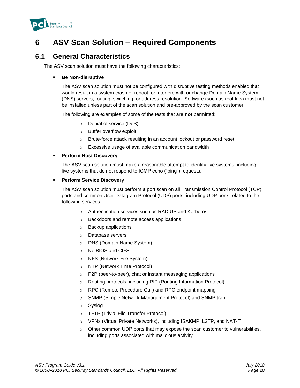

# <span id="page-20-0"></span>**6 ASV Scan Solution – Required Components**

### <span id="page-20-1"></span>**6.1 General Characteristics**

The ASV scan solution must have the following characteristics:

### ▪ **Be Non-disruptive**

The ASV scan solution must not be configured with disruptive testing methods enabled that would result in a system crash or reboot, or interfere with or change Domain Name System (DNS) servers, routing, switching, or address resolution. Software (such as root kits) must not be installed unless part of the scan solution and pre-approved by the scan customer.

The following are examples of some of the tests that are **not** permitted:

- o Denial of service (DoS)
- o Buffer overflow exploit
- o Brute-force attack resulting in an account lockout or password reset
- o Excessive usage of available communication bandwidth

### ▪ **Perform Host Discovery**

The ASV scan solution must make a reasonable attempt to identify live systems, including live systems that do not respond to ICMP echo ("ping") requests.

### ▪ **Perform Service Discovery**

The ASV scan solution must perform a port scan on all Transmission Control Protocol (TCP) ports and common User Datagram Protocol (UDP) ports, including UDP ports related to the following services:

- o Authentication services such as RADIUS and Kerberos
- o Backdoors and remote access applications
- o Backup applications
- o Database servers
- o DNS (Domain Name System)
- o NetBIOS and CIFS
- o NFS (Network File System)
- o NTP (Network Time Protocol)
- o P2P (peer-to-peer), chat or instant messaging applications
- o Routing protocols, including RIP (Routing Information Protocol)
- o RPC (Remote Procedure Call) and RPC endpoint mapping
- o SNMP (Simple Network Management Protocol) and SNMP trap
- o Syslog
- o TFTP (Trivial File Transfer Protocol)
- o VPNs (Virtual Private Networks), including ISAKMP, L2TP, and NAT-T
- o Other common UDP ports that may expose the scan customer to vulnerabilities, including ports associated with malicious activity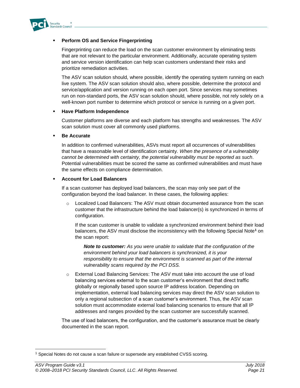

#### **Perform OS and Service Fingerprinting**

Fingerprinting can reduce the load on the scan customer environment by eliminating tests that are not relevant to the particular environment. Additionally, accurate operating system and service version identification can help scan customers understand their risks and prioritize remediation activities.

The ASV scan solution should, where possible, identify the operating system running on each live system. The ASV scan solution should also, where possible, determine the protocol and service/application and version running on each open port. Since services may sometimes run on non-standard ports, the ASV scan solution should, where possible, not rely solely on a well-known port number to determine which protocol or service is running on a given port.

#### **Have Platform Independence**

Customer platforms are diverse and each platform has strengths and weaknesses. The ASV scan solution must cover all commonly used platforms.

#### **Be Accurate**

In addition to confirmed vulnerabilities, ASVs must report all occurrences of vulnerabilities that have a reasonable level of identification certainty. *When the presence of a vulnerability cannot be determined with certainty, the potential vulnerability must be reported as such*. Potential vulnerabilities must be scored the same as confirmed vulnerabilities and must have the same effects on compliance determination.

#### **Account for Load Balancers**

If a scan customer has deployed load balancers, the scan may only see part of the configuration beyond the load balancer. In these cases, the following applies:

Localized Load Balancers: The ASV must obtain documented assurance from the scan customer that the infrastructure behind the load balancer(s) is synchronized in terms of configuration.

If the scan customer is unable to validate a synchronized environment behind their load balancers, the ASV must disclose the inconsistency with the following Special Note**<sup>1</sup>** on the scan report:

*Note to customer: As you were unable to validate that the configuration of the environment behind your load balancers is synchronized, it is your responsibility to ensure that the environment is scanned as part of the internal vulnerability scans required by the PCI DSS.*

o External Load Balancing Services: The ASV must take into account the use of load balancing services external to the scan customer's environment that direct traffic globally or regionally based upon source IP address location. Depending on implementation, external load balancing services may direct the ASV scan solution to only a regional subsection of a scan customer's environment. Thus, the ASV scan solution must accommodate external load balancing scenarios to ensure that all IP addresses and ranges provided by the scan customer are successfully scanned.

The use of load balancers, the configuration, and the customer's assurance must be clearly documented in the scan report.

l

 $1$  Special Notes do not cause a scan failure or supersede any established CVSS scoring.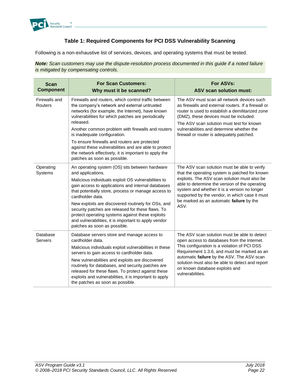

### **Table 1: Required Components for PCI DSS Vulnerability Scanning**

Following is a non-exhaustive list of services, devices, and operating systems that must be tested.

*Note: Scan customers may use the dispute-resolution process documented in this guide if a noted failure is mitigated by compensating controls.*

| <b>Scan</b><br><b>Component</b> | <b>For Scan Customers:</b><br>Why must it be scanned?                                                                                                                                                                                                                                                                                                                                                                                                                                                               | For ASVs:<br><b>ASV scan solution must:</b>                                                                                                                                                                                                                                                                                                            |
|---------------------------------|---------------------------------------------------------------------------------------------------------------------------------------------------------------------------------------------------------------------------------------------------------------------------------------------------------------------------------------------------------------------------------------------------------------------------------------------------------------------------------------------------------------------|--------------------------------------------------------------------------------------------------------------------------------------------------------------------------------------------------------------------------------------------------------------------------------------------------------------------------------------------------------|
| Firewalls and<br>Routers        | Firewalls and routers, which control traffic between<br>the company's network and external untrusted<br>networks (for example, the Internet), have known<br>vulnerabilities for which patches are periodically<br>released.<br>Another common problem with firewalls and routers<br>is inadequate configuration.<br>To ensure firewalls and routers are protected<br>against these vulnerabilities and are able to protect<br>the network effectively, it is important to apply the<br>patches as soon as possible. | The ASV must scan all network devices such<br>as firewalls and external routers. If a firewall or<br>router is used to establish a demilitarized zone<br>(DMZ), these devices must be included.<br>The ASV scan solution must test for known<br>vulnerabilities and determine whether the<br>firewall or router is adequately patched.                 |
| Operating<br>Systems            | An operating system (OS) sits between hardware<br>and applications.<br>Malicious individuals exploit OS vulnerabilities to<br>gain access to applications and internal databases<br>that potentially store, process or manage access to<br>cardholder data.<br>New exploits are discovered routinely for OSs, and<br>security patches are released for these flaws. To<br>protect operating systems against these exploits<br>and vulnerabilities, it is important to apply vendor<br>patches as soon as possible.  | The ASV scan solution must be able to verify<br>that the operating system is patched for known<br>exploits. The ASV scan solution must also be<br>able to determine the version of the operating<br>system and whether it is a version no longer<br>supported by the vendor, in which case it must<br>be marked as an automatic failure by the<br>ASV. |
| Database<br>Servers             | Database servers store and manage access to<br>cardholder data.<br>Malicious individuals exploit vulnerabilities in these<br>servers to gain access to cardholder data.<br>New vulnerabilities and exploits are discovered<br>routinely for databases, and security patches are<br>released for these flaws. To protect against these<br>exploits and vulnerabilities, it is important to apply<br>the patches as soon as possible.                                                                                 | The ASV scan solution must be able to detect<br>open access to databases from the Internet.<br>This configuration is a violation of PCI DSS<br>Requirement 1.3.6, and must be marked as an<br>automatic failure by the ASV. The ASV scan<br>solution must also be able to detect and report<br>on known database exploits and<br>vulnerabilities.      |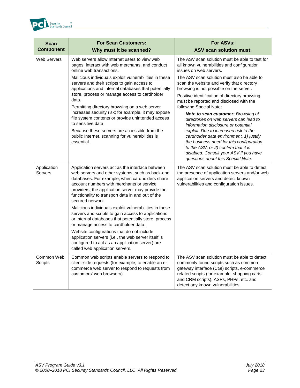

| <b>Scan</b><br><b>Component</b> | <b>For Scan Customers:</b><br>Why must it be scanned?                                                                                                                                                                                                                                                                                                                                                                                                                                                                                                                                                                                                                                                                                        | For ASVs:<br><b>ASV scan solution must:</b>                                                                                                                                                                                                                                                                                                                                                                                                                                                                                                                                                                                                                                                                                                                                 |
|---------------------------------|----------------------------------------------------------------------------------------------------------------------------------------------------------------------------------------------------------------------------------------------------------------------------------------------------------------------------------------------------------------------------------------------------------------------------------------------------------------------------------------------------------------------------------------------------------------------------------------------------------------------------------------------------------------------------------------------------------------------------------------------|-----------------------------------------------------------------------------------------------------------------------------------------------------------------------------------------------------------------------------------------------------------------------------------------------------------------------------------------------------------------------------------------------------------------------------------------------------------------------------------------------------------------------------------------------------------------------------------------------------------------------------------------------------------------------------------------------------------------------------------------------------------------------------|
| <b>Web Servers</b>              | Web servers allow Internet users to view web<br>pages, interact with web merchants, and conduct<br>online web transactions.<br>Malicious individuals exploit vulnerabilities in these<br>servers and their scripts to gain access to<br>applications and internal databases that potentially<br>store, process or manage access to cardholder<br>data.<br>Permitting directory browsing on a web server<br>increases security risk; for example, it may expose<br>file system contents or provide unintended access<br>to sensitive data.<br>Because these servers are accessible from the<br>public Internet, scanning for vulnerabilities is<br>essential.                                                                                 | The ASV scan solution must be able to test for<br>all known vulnerabilities and configuration<br>issues on web servers.<br>The ASV scan solution must also be able to<br>scan the website and verify that directory<br>browsing is not possible on the server.<br>Positive identification of directory browsing<br>must be reported and disclosed with the<br>following Special Note:<br><b>Note to scan customer: Browsing of</b><br>directories on web servers can lead to<br>information disclosure or potential<br>exploit. Due to increased risk to the<br>cardholder data environment, 1) justify<br>the business need for this configuration<br>to the ASV, or 2) confirm that it is<br>disabled. Consult your ASV if you have<br>questions about this Special Note. |
| Application<br>Servers          | Application servers act as the interface between<br>web servers and other systems, such as back-end<br>databases. For example, when cardholders share<br>account numbers with merchants or service<br>providers, the application server may provide the<br>functionality to transport data in and out of the<br>secured network.<br>Malicious individuals exploit vulnerabilities in these<br>servers and scripts to gain access to applications<br>or internal databases that potentially store, process<br>or manage access to cardholder data.<br>Website configurations that do not include<br>application servers (i.e., the web server itself is<br>configured to act as an application server) are<br>called web application servers. | The ASV scan solution must be able to detect<br>the presence of application servers and/or web<br>application servers and detect known<br>vulnerabilities and configuration issues.                                                                                                                                                                                                                                                                                                                                                                                                                                                                                                                                                                                         |
| Common Web<br><b>Scripts</b>    | Common web scripts enable servers to respond to<br>client-side requests (for example, to enable an e-<br>commerce web server to respond to requests from<br>customers' web browsers).                                                                                                                                                                                                                                                                                                                                                                                                                                                                                                                                                        | The ASV scan solution must be able to detect<br>commonly found scripts such as common<br>gateway interface (CGI) scripts, e-commerce<br>related scripts (for example, shopping carts<br>and CRM scripts), ASPs, PHPs, etc. and<br>detect any known vulnerabilities.                                                                                                                                                                                                                                                                                                                                                                                                                                                                                                         |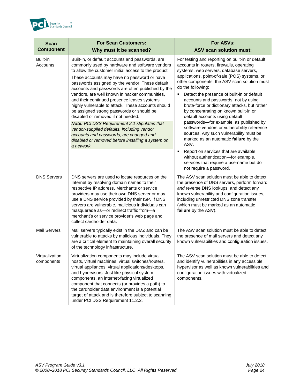

| <b>Scan</b><br><b>Component</b> | <b>For Scan Customers:</b><br>Why must it be scanned?                                                                                                                                                                                                                                                                                                                                                                                                                                                                                                                                                                                                                                                                                                                           | For ASVs:<br><b>ASV scan solution must:</b>                                                                                                                                                                                                                                                                                                                                                                                                                                                                                                                                                                                                                                                                                                                                                                                           |
|---------------------------------|---------------------------------------------------------------------------------------------------------------------------------------------------------------------------------------------------------------------------------------------------------------------------------------------------------------------------------------------------------------------------------------------------------------------------------------------------------------------------------------------------------------------------------------------------------------------------------------------------------------------------------------------------------------------------------------------------------------------------------------------------------------------------------|---------------------------------------------------------------------------------------------------------------------------------------------------------------------------------------------------------------------------------------------------------------------------------------------------------------------------------------------------------------------------------------------------------------------------------------------------------------------------------------------------------------------------------------------------------------------------------------------------------------------------------------------------------------------------------------------------------------------------------------------------------------------------------------------------------------------------------------|
| Built-in<br>Accounts            | Built-in, or default accounts and passwords, are<br>commonly used by hardware and software vendors<br>to allow the customer initial access to the product.<br>These accounts may have no password or have<br>passwords assigned by the vendor. These default<br>accounts and passwords are often published by the<br>vendors, are well known in hacker communities,<br>and their continued presence leaves systems<br>highly vulnerable to attack. These accounts should<br>be assigned strong passwords or should be<br>disabled or removed if not needed.<br><b>Note:</b> PCI DSS Requirement 2.1 stipulates that<br>vendor-supplied defaults, including vendor<br>accounts and passwords, are changed and<br>disabled or removed before installing a system on<br>a network. | For testing and reporting on built-in or default<br>accounts in routers, firewalls, operating<br>systems, web servers, database servers,<br>applications, point-of-sale (POS) systems, or<br>other components, the ASV scan solution must<br>do the following:<br>Detect the presence of built-in or default<br>٠<br>accounts and passwords, not by using<br>brute-force or dictionary attacks, but rather<br>by concentrating on known built-in or<br>default accounts using default<br>passwords-for example, as published by<br>software vendors or vulnerability reference<br>sources. Any such vulnerability must be<br>marked as an automatic failure by the<br>ASV.<br>Report on services that are available<br>٠<br>without authentication-for example,<br>services that require a username but do<br>not require a password. |
| <b>DNS Servers</b>              | DNS servers are used to locate resources on the<br>Internet by resolving domain names to their<br>respective IP address. Merchants or service<br>providers may use their own DNS server or may<br>use a DNS service provided by their ISP. If DNS<br>servers are vulnerable, malicious individuals can<br>masquerade as-or redirect traffic from-a<br>merchant's or service provider's web page and<br>collect cardholder data.                                                                                                                                                                                                                                                                                                                                                 | The ASV scan solution must be able to detect<br>the presence of DNS servers, perform forward<br>and reverse DNS lookups, and detect any<br>known vulnerability and configuration issues,<br>including unrestricted DNS zone transfer<br>(which must be marked as an automatic<br>failure by the ASV).                                                                                                                                                                                                                                                                                                                                                                                                                                                                                                                                 |
| <b>Mail Servers</b>             | Mail servers typically exist in the DMZ and can be<br>vulnerable to attacks by malicious individuals. They<br>are a critical element to maintaining overall security<br>of the technology infrastructure.                                                                                                                                                                                                                                                                                                                                                                                                                                                                                                                                                                       | The ASV scan solution must be able to detect<br>the presence of mail servers and detect any<br>known vulnerabilities and configuration issues.                                                                                                                                                                                                                                                                                                                                                                                                                                                                                                                                                                                                                                                                                        |
| Virtualization<br>components    | Virtualization components may include virtual<br>hosts, virtual machines, virtual switches/routers,<br>virtual appliances, virtual applications/desktops,<br>and hypervisors. Just like physical system<br>components, an internet-facing virtualized<br>component that connects (or provides a path) to<br>the cardholder data environment is a potential<br>target of attack and is therefore subject to scanning<br>under PCI DSS Requirement 11.2.2.                                                                                                                                                                                                                                                                                                                        | The ASV scan solution must be able to detect<br>and identify vulnerabilities in any accessible<br>hypervisor as well as known vulnerabilities and<br>configuration issues with virtualized<br>components.                                                                                                                                                                                                                                                                                                                                                                                                                                                                                                                                                                                                                             |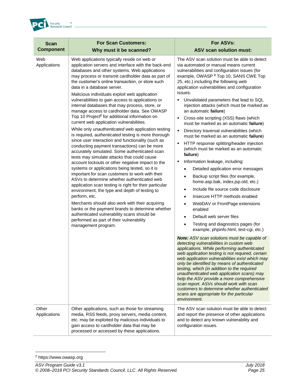

| <b>Scan</b><br><b>Component</b> | <b>For Scan Customers:</b><br>Why must it be scanned?                                                                                                                                                                                                                                                                                                                                                                                                                                                                                                                                                                                                                                                                                                                                                                                                                                                                                                                                                                                                                                                                                                                                                                                                                                                                                                                                                                                                                                      | For ASVs:<br><b>ASV scan solution must:</b>                                                                                                                                                                                                                                                                                                                                                                                                                                                                                                                                                                                                                                                                                                                                                                                                                                                                                                                                                                                                                                                                                                                                                                                                                                                                                                                                                                                                                                                                                                                                                                                                                                                                                                                                            |
|---------------------------------|--------------------------------------------------------------------------------------------------------------------------------------------------------------------------------------------------------------------------------------------------------------------------------------------------------------------------------------------------------------------------------------------------------------------------------------------------------------------------------------------------------------------------------------------------------------------------------------------------------------------------------------------------------------------------------------------------------------------------------------------------------------------------------------------------------------------------------------------------------------------------------------------------------------------------------------------------------------------------------------------------------------------------------------------------------------------------------------------------------------------------------------------------------------------------------------------------------------------------------------------------------------------------------------------------------------------------------------------------------------------------------------------------------------------------------------------------------------------------------------------|----------------------------------------------------------------------------------------------------------------------------------------------------------------------------------------------------------------------------------------------------------------------------------------------------------------------------------------------------------------------------------------------------------------------------------------------------------------------------------------------------------------------------------------------------------------------------------------------------------------------------------------------------------------------------------------------------------------------------------------------------------------------------------------------------------------------------------------------------------------------------------------------------------------------------------------------------------------------------------------------------------------------------------------------------------------------------------------------------------------------------------------------------------------------------------------------------------------------------------------------------------------------------------------------------------------------------------------------------------------------------------------------------------------------------------------------------------------------------------------------------------------------------------------------------------------------------------------------------------------------------------------------------------------------------------------------------------------------------------------------------------------------------------------|
| Web<br>Applications             | Web applications typically reside on web or<br>application servers and interface with the back-end<br>databases and other systems. Web applications<br>may process or transmit cardholder data as part of<br>the customer's online transaction, or store such<br>data in a database server.<br>Malicious individuals exploit web application<br>vulnerabilities to gain access to applications or<br>internal databases that may process, store, or<br>manage access to cardholder data. See OWASP<br>Top 10 Project <sup>2</sup> for additional information on<br>current web application vulnerabilities.<br>While only unauthenticated web application testing<br>is required, authenticated testing is more thorough<br>since user interaction and functionality (such as<br>conducting payment transactions) can be more<br>accurately simulated. Some authenticated scan<br>tests may simulate attacks that could cause<br>account lockouts or other negative impact to the<br>systems or applications being tested, so it is<br>important for scan customers to work with their<br>ASVs to determine whether authenticated web<br>application scan testing is right for their particular<br>environment, the type and depth of testing to<br>perform, etc.<br>Merchants should also work with their acquiring<br>banks or the payment brands to determine whether<br>authenticated vulnerability scans should be<br>performed as part of their vulnerability<br>management program. | The ASV scan solution must be able to detect<br>via automated or manual means current<br>vulnerabilities and configuration issues (for<br>example, OWASP <sup>2</sup> Top 10, SANS CWE Top<br>25, etc.) including the following web<br>application vulnerabilities and configuration<br>issues:<br>Unvalidated parameters that lead to SQL<br>injection attacks (which must be marked as<br>an automatic failure)<br>Cross-site scripting (XSS) flaws (which<br>must be marked as an automatic failure)<br>Directory traversal vulnerabilities (which<br>$\blacksquare$<br>must be marked as an automatic failure)<br>HTTP response splitting/header injection<br>٠<br>(which must be marked as an automatic<br>failure)<br>Information leakage, including:<br>٠<br>Detailed application error messages<br>Backup script files (for example,<br>$\bullet$<br>home.asp.bak, index.jsp.old, etc.)<br>Include file source code disclosure<br>$\bullet$<br>Insecure HTTP methods enabled<br>$\bullet$<br>WebDAV or FrontPage extensions<br>enabled<br>Default web server files<br>$\bullet$<br>Testing and diagnostics pages (for<br>$\bullet$<br>example, phpinfo.html, test-cgi, etc.)<br>Note: ASV scan solutions must be capable of<br>detecting vulnerabilities in custom web<br>applications. While performing authenticated<br>web application testing is not required, certain<br>web application vulnerabilities exist which may<br>only be identified by means of authenticated<br>testing, which (in addition to the required<br>unauthenticated web application scans) may<br>help the ASV provide a more comprehensive<br>scan report. ASVs should work with scan<br>customers to determine whether authenticated<br>scans are appropriate for the particular<br>environment. |
| Other<br>Applications           | Other applications, such as those for streaming<br>media, RSS feeds, proxy servers, media content,<br>etc. may be exploited by malicious individuals to<br>gain access to cardholder data that may be<br>processed or accessed by these applications.                                                                                                                                                                                                                                                                                                                                                                                                                                                                                                                                                                                                                                                                                                                                                                                                                                                                                                                                                                                                                                                                                                                                                                                                                                      | The ASV scan solution must be able to detect<br>and report the presence of other applications<br>and to detect any known vulnerability and<br>configuration issues.                                                                                                                                                                                                                                                                                                                                                                                                                                                                                                                                                                                                                                                                                                                                                                                                                                                                                                                                                                                                                                                                                                                                                                                                                                                                                                                                                                                                                                                                                                                                                                                                                    |

l <sup>2</sup> https://www.owasp.org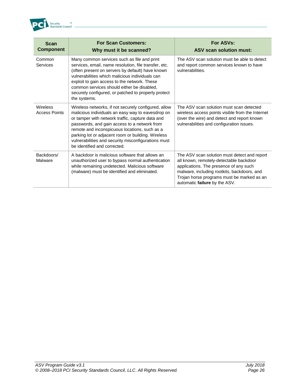

| <b>Scan</b><br><b>Component</b>  | <b>For Scan Customers:</b><br>Why must it be scanned?                                                                                                                                                                                                                                                                                                                                                       | For ASVs:<br><b>ASV scan solution must:</b>                                                                                                                                                                                                                     |
|----------------------------------|-------------------------------------------------------------------------------------------------------------------------------------------------------------------------------------------------------------------------------------------------------------------------------------------------------------------------------------------------------------------------------------------------------------|-----------------------------------------------------------------------------------------------------------------------------------------------------------------------------------------------------------------------------------------------------------------|
| Common<br><b>Services</b>        | Many common services such as file and print<br>services, email, name resolution, file transfer, etc.<br>(often present on servers by default) have known<br>vulnerabilities which malicious individuals can<br>exploit to gain access to the network. These<br>common services should either be disabled,<br>securely configured, or patched to properly protect<br>the systems.                            | The ASV scan solution must be able to detect<br>and report common services known to have<br>vulnerabilities.                                                                                                                                                    |
| Wireless<br><b>Access Points</b> | Wireless networks, if not securely configured, allow<br>malicious individuals an easy way to eavesdrop on<br>or tamper with network traffic, capture data and<br>passwords, and gain access to a network from<br>remote and inconspicuous locations, such as a<br>parking lot or adjacent room or building. Wireless<br>vulnerabilities and security misconfigurations must<br>be identified and corrected. | The ASV scan solution must scan detected<br>wireless access points visible from the Internet<br>(over the wire) and detect and report known<br>vulnerabilities and configuration issues.                                                                        |
| Backdoors/<br>Malware            | A backdoor is malicious software that allows an<br>unauthorized user to bypass normal authentication<br>while remaining undetected. Malicious software<br>(malware) must be identified and eliminated.                                                                                                                                                                                                      | The ASV scan solution must detect and report<br>all known, remotely-detectable backdoor<br>applications. The presence of any such<br>malware, including rootkits, backdoors, and<br>Trojan horse programs must be marked as an<br>automatic failure by the ASV. |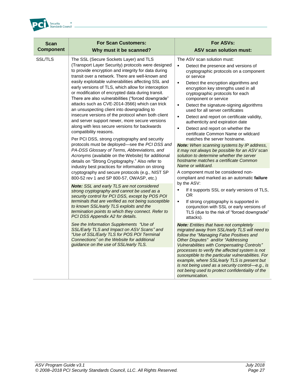

| <b>Scan</b>      | <b>For Scan Customers:</b>                                                                                                                                                                                                                                                                                                                                                                                                                                                                                                                                                                                                                                                                                                                                                                                                                                                                                                                                                                                                                                                                                                                                                                                                                                                                                                                                                                                                                                                                                                                                                                                                                                                                                       | For ASVs:                                                                                                                                                                                                                                                                                                                                                                                                                                                                                                                                                                                                                                                                                                                                                                                                                                                                                                                                                                                                                                                                                                                                                                                                                                                                                                                                                                                                                                                                                                                                                                                                                                                                                                  |
|------------------|------------------------------------------------------------------------------------------------------------------------------------------------------------------------------------------------------------------------------------------------------------------------------------------------------------------------------------------------------------------------------------------------------------------------------------------------------------------------------------------------------------------------------------------------------------------------------------------------------------------------------------------------------------------------------------------------------------------------------------------------------------------------------------------------------------------------------------------------------------------------------------------------------------------------------------------------------------------------------------------------------------------------------------------------------------------------------------------------------------------------------------------------------------------------------------------------------------------------------------------------------------------------------------------------------------------------------------------------------------------------------------------------------------------------------------------------------------------------------------------------------------------------------------------------------------------------------------------------------------------------------------------------------------------------------------------------------------------|------------------------------------------------------------------------------------------------------------------------------------------------------------------------------------------------------------------------------------------------------------------------------------------------------------------------------------------------------------------------------------------------------------------------------------------------------------------------------------------------------------------------------------------------------------------------------------------------------------------------------------------------------------------------------------------------------------------------------------------------------------------------------------------------------------------------------------------------------------------------------------------------------------------------------------------------------------------------------------------------------------------------------------------------------------------------------------------------------------------------------------------------------------------------------------------------------------------------------------------------------------------------------------------------------------------------------------------------------------------------------------------------------------------------------------------------------------------------------------------------------------------------------------------------------------------------------------------------------------------------------------------------------------------------------------------------------------|
| <b>Component</b> | Why must it be scanned?                                                                                                                                                                                                                                                                                                                                                                                                                                                                                                                                                                                                                                                                                                                                                                                                                                                                                                                                                                                                                                                                                                                                                                                                                                                                                                                                                                                                                                                                                                                                                                                                                                                                                          | <b>ASV scan solution must:</b>                                                                                                                                                                                                                                                                                                                                                                                                                                                                                                                                                                                                                                                                                                                                                                                                                                                                                                                                                                                                                                                                                                                                                                                                                                                                                                                                                                                                                                                                                                                                                                                                                                                                             |
| <b>SSL/TLS</b>   | The SSL (Secure Sockets Layer) and TLS<br>(Transport Layer Security) protocols were designed<br>to provide encryption and integrity for data during<br>transit over a network. There are well-known and<br>easily exploitable vulnerabilities affecting SSL and<br>early versions of TLS, which allow for interception<br>or modification of encrypted data during transit.<br>There are also vulnerabilities ("forced downgrade"<br>attacks such as CVE-2014-3566) which can trick<br>an unsuspecting client into downgrading to<br>insecure versions of the protocol when both client<br>and server support newer, more secure versions<br>along with less secure versions for backwards<br>compatibility reasons.<br>Per PCI DSS, strong cryptography and security<br>protocols must be deployed-see the PCI DSS and<br>PA-DSS Glossary of Terms, Abbreviations, and<br>Acronyms (available on the Website) for additional<br>details on "Strong Cryptography." Also refer to<br>industry best practices for information on strong<br>cryptography and secure protocols (e.g., NIST SP<br>800-52 rev 1 and SP 800-57, OWASP, etc.)<br>Note: SSL and early TLS are not considered<br>strong cryptography and cannot be used as a<br>security control for PCI DSS, except by POS POI<br>terminals that are verified as not being susceptible<br>to known SSL/early TLS exploits and the<br>termination points to which they connect. Refer to<br>PCI DSS Appendix A2 for details.<br>See the Information Supplements "Use of<br>SSL/Early TLS and Impact on ASV Scans" and<br>"Use of SSL/Early TLS for POS POI Terminal<br>Connections" on the Website for additional<br>guidance on the use of SSL/early TLS. | The ASV scan solution must:<br>$\blacksquare$<br>Detect the presence and versions of<br>cryptographic protocols on a component<br>or service<br>٠<br>Detect the encryption algorithms and<br>encryption key strengths used in all<br>cryptographic protocols for each<br>component or service<br>٠<br>Detect the signature-signing algorithms<br>used for all server certificates<br>$\blacksquare$<br>Detect and report on certificate validity,<br>authenticity and expiration date<br>$\blacksquare$<br>Detect and report on whether the<br>certificate Common Name or wildcard<br>matches the server hostname.<br><b>Note:</b> When scanning systems by IP address,<br>it may not always be possible for an ASV scan<br>solution to determine whether the server<br>hostname matches a certificate Common<br>Name or wildcard.<br>A component must be considered non-<br>compliant and marked as an automatic failure<br>by the ASV:<br>If it supports SSL or early versions of TLS,<br>$\blacksquare$<br>OR.<br>If strong cryptography is supported in<br>$\blacksquare$<br>conjunction with SSL or early versions of<br>TLS (due to the risk of "forced downgrade"<br>attacks).<br><b>Note:</b> Entities that have not completely<br>migrated away from SSL/early TLS will need to<br>follow the "Managing False Positives and<br>Other Disputes" and/or "Addressing<br>Vulnerabilities with Compensating Controls"<br>processes to verify the affected system is not<br>susceptible to the particular vulnerabilities. For<br>example, where SSL/early TLS is present but<br>is not being used as a security control-e.g., is<br>not being used to protect confidentiality of the<br>communication. |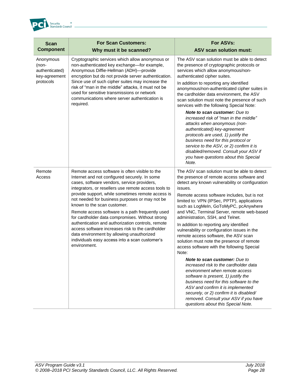

| <b>Scan</b><br><b>Component</b>                       | <b>For Scan Customers:</b><br>Why must it be scanned?                                                                                                                                                                                                                                                                                                                                                                                                                                                                                                                                                                                                       | For ASVs:<br><b>ASV scan solution must:</b>                                                                                                                                                                                                                                                                                                                                                                                                                                                                                                                       |
|-------------------------------------------------------|-------------------------------------------------------------------------------------------------------------------------------------------------------------------------------------------------------------------------------------------------------------------------------------------------------------------------------------------------------------------------------------------------------------------------------------------------------------------------------------------------------------------------------------------------------------------------------------------------------------------------------------------------------------|-------------------------------------------------------------------------------------------------------------------------------------------------------------------------------------------------------------------------------------------------------------------------------------------------------------------------------------------------------------------------------------------------------------------------------------------------------------------------------------------------------------------------------------------------------------------|
| Anonymous<br>(non-<br>authenticated)<br>key-agreement | Cryptographic services which allow anonymous or<br>non-authenticated key exchange-for example,<br>Anonymous Diffie-Hellman (ADH)-provide<br>encryption but do not provide server authentication.                                                                                                                                                                                                                                                                                                                                                                                                                                                            | The ASV scan solution must be able to detect<br>the presence of cryptographic protocols or<br>services which allow anonymous/non-<br>authenticated cipher suites.                                                                                                                                                                                                                                                                                                                                                                                                 |
| protocols                                             | Since use of such cipher suites may increase the<br>risk of "man in the middle" attacks, it must not be<br>used for sensitive transmissions or network<br>communications where server authentication is<br>required.                                                                                                                                                                                                                                                                                                                                                                                                                                        | In addition to reporting any identified<br>anonymous/non-authenticated cipher suites in<br>the cardholder data environment, the ASV<br>scan solution must note the presence of such<br>services with the following Special Note:                                                                                                                                                                                                                                                                                                                                  |
|                                                       |                                                                                                                                                                                                                                                                                                                                                                                                                                                                                                                                                                                                                                                             | <b>Note to scan customer:</b> Due to<br>increased risk of "man in the middle"<br>attacks when anonymous (non-<br>authenticated) key-agreement<br>protocols are used, 1) justify the<br>business need for this protocol or<br>service to the ASV, or 2) confirm it is<br>disabled/removed. Consult your ASV if<br>you have questions about this Special<br>Note.                                                                                                                                                                                                   |
| Remote<br>Access                                      | Remote access software is often visible to the<br>Internet and not configured securely. In some<br>cases, software vendors, service providers,<br>integrators, or resellers use remote access tools to<br>provide support, while sometimes remote access is<br>not needed for business purposes or may not be<br>known to the scan customer.<br>Remote access software is a path frequently used<br>for cardholder data compromises. Without strong<br>authentication and authorization controls, remote<br>access software increases risk to the cardholder<br>data environment by allowing unauthorized<br>individuals easy access into a scan customer's | The ASV scan solution must be able to detect<br>the presence of remote access software and<br>detect any known vulnerability or configuration<br>issues.<br>Remote access software includes, but is not<br>limited to: VPN (IPSec, PPTP), applications<br>such as LogMeIn, GoToMyPC, pcAnywhere<br>and VNC, Terminal Server, remote web-based<br>administration, SSH, and Telnet.<br>In addition to reporting any identified<br>vulnerability or configuration issues in the<br>remote access software, the ASV scan<br>solution must note the presence of remote |
|                                                       | environment.                                                                                                                                                                                                                                                                                                                                                                                                                                                                                                                                                                                                                                                | access software with the following Special<br>Note:<br><b>Note to scan customer:</b> Due to<br>increased risk to the cardholder data<br>environment when remote access<br>software is present, 1) justify the<br>business need for this software to the<br>ASV and confirm it is implemented<br>securely, or 2) confirm it is disabled/<br>removed. Consult your ASV if you have<br>questions about this Special Note.                                                                                                                                            |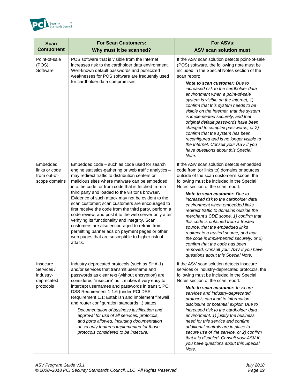

| <b>Scan</b><br><b>Component</b>                                | <b>For Scan Customers:</b><br>Why must it be scanned?                                                                                                                                                                                                                                                                                                                                                                                                                                                                                                                                                                                                                                                                                                                 | <b>For ASVs:</b><br><b>ASV scan solution must:</b>                                                                                                                                                                                                                                                                                                                                                                                                                                                                                                                                                                                                                                                              |
|----------------------------------------------------------------|-----------------------------------------------------------------------------------------------------------------------------------------------------------------------------------------------------------------------------------------------------------------------------------------------------------------------------------------------------------------------------------------------------------------------------------------------------------------------------------------------------------------------------------------------------------------------------------------------------------------------------------------------------------------------------------------------------------------------------------------------------------------------|-----------------------------------------------------------------------------------------------------------------------------------------------------------------------------------------------------------------------------------------------------------------------------------------------------------------------------------------------------------------------------------------------------------------------------------------------------------------------------------------------------------------------------------------------------------------------------------------------------------------------------------------------------------------------------------------------------------------|
| Point-of-sale<br>(POS)<br>Software                             | POS software that is visible from the Internet<br>increases risk to the cardholder data environment.<br>Well-known default passwords and publicized<br>weaknesses for POS software are frequently used<br>for cardholder data compromises.                                                                                                                                                                                                                                                                                                                                                                                                                                                                                                                            | If the ASV scan solution detects point-of-sale<br>(POS) software, the following note must be<br>included in the Special Notes section of the<br>scan report:<br><b>Note to scan customer:</b> Due to<br>increased risk to the cardholder data<br>environment when a point-of-sale<br>system is visible on the Internet, 1)<br>confirm that this system needs to be<br>visible on the Internet, that the system<br>is implemented securely, and that<br>original default passwords have been<br>changed to complex passwords, or 2)<br>confirm that the system has been<br>reconfigured and is no longer visible to<br>the Internet. Consult your ASV if you<br>have questions about this Special<br>Note.       |
| Embedded<br>links or code<br>from out-of-<br>scope domains     | Embedded code - such as code used for search<br>engine statistics-gathering or web traffic analytics -<br>may redirect traffic to distribution centers or<br>malicious sites where malware can be embedded<br>into the code, or from code that is fetched from a<br>third party and loaded to the visitor's browser.<br>Evidence of such attack may not be evident to the<br>scan customer; scan customers are encouraged to<br>first receive the code from the third party, perform a<br>code review, and post it to the web server only after<br>verifying its functionality and integrity. Scan<br>customers are also encouraged to refrain from<br>permitting banner ads on payment pages or other<br>web pages that are susceptible to higher risk of<br>attack. | If the ASV scan solution detects embedded<br>code from (or links to) domains or sources<br>outside of the scan customer's scope, the<br>following must be included in the Special<br>Notes section of the scan report:<br><b>Note to scan customer:</b> Due to<br>increased risk to the cardholder data<br>environment when embedded links<br>redirect traffic to domains outside the<br>merchant's CDE scope, 1) confirm that<br>this code is obtained from a trusted<br>source, that the embedded links<br>redirect to a trusted source, and that<br>the code is implemented securely, or 2)<br>confirm that the code has been<br>removed. Consult your ASV if you have<br>questions about this Special Note. |
| Insecure<br>Services /<br>industry-<br>deprecated<br>protocols | Industry-deprecated protocols (such as SHA-1)<br>and/or services that transmit username and<br>passwords as clear text (without encryption) are<br>considered "insecure" as it makes it very easy to<br>intercept usernames and passwords in transit. PCI<br>DSS Requirement 1.1.6 (under PCI DSS<br>Requirement 1.1: Establish and implement firewall<br>and router configuration standards) states:<br>Documentation of business justification and<br>approval for use of all services, protocols,<br>and ports allowed, including documentation<br>of security features implemented for those<br>protocols considered to be insecure.                                                                                                                              | If the ASV scan solution detects insecure<br>services or industry-deprecated protocols, the<br>following must be included in the Special<br>Notes section of the scan report:<br><b>Note to scan customer: Insecure</b><br>services and industry-deprecated<br>protocols can lead to information<br>disclosure or potential exploit. Due to<br>increased risk to the cardholder data<br>environment, 1) justify the business<br>need for this service and confirm<br>additional controls are in place to<br>secure use of the service, or 2) confirm<br>that it is disabled. Consult your ASV if<br>you have questions about this Special<br>Note.                                                              |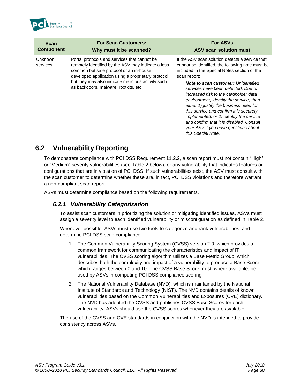

| <b>Scan</b><br><b>Component</b> | <b>For Scan Customers:</b><br>Why must it be scanned?                                                                                                                                                 | For ASVs:<br><b>ASV scan solution must:</b>                                                                                                                                                                                                                                                                                                                                                                      |
|---------------------------------|-------------------------------------------------------------------------------------------------------------------------------------------------------------------------------------------------------|------------------------------------------------------------------------------------------------------------------------------------------------------------------------------------------------------------------------------------------------------------------------------------------------------------------------------------------------------------------------------------------------------------------|
| <b>Unknown</b><br>services      | Ports, protocols and services that cannot be.<br>remotely identified by the ASV may indicate a less<br>common but safe protocol or an in-house<br>developed application using a proprietary protocol, | If the ASV scan solution detects a service that<br>cannot be identified, the following note must be<br>included in the Special Notes section of the<br>scan report:                                                                                                                                                                                                                                              |
|                                 | but they may also indicate malicious activity such<br>as backdoors, malware, rootkits, etc.                                                                                                           | <b>Note to scan customer: Unidentified</b><br>services have been detected. Due to<br>increased risk to the cardholder data<br>environment, identify the service, then<br>either 1) justify the business need for<br>this service and confirm it is securely<br>implemented, or 2) identify the service<br>and confirm that it is disabled. Consult<br>your ASV if you have questions about<br>this Special Note. |

### <span id="page-30-0"></span>**6.2 Vulnerability Reporting**

To demonstrate compliance with PCI DSS Requirement 11.2.2, a scan report must not contain "High" or "Medium" severity vulnerabilities (see Table 2 below), or any vulnerability that indicates features or configurations that are in violation of PCI DSS. If such vulnerabilities exist, the ASV must consult with the scan customer to determine whether these are, in fact, PCI DSS violations and therefore warrant a non-compliant scan report.

ASVs must determine compliance based on the following requirements.

### *6.2.1 Vulnerability Categorization*

To assist scan customers in prioritizing the solution or mitigating identified issues, ASVs must assign a severity level to each identified vulnerability or misconfiguration as defined in Table 2.

Whenever possible, ASVs must use two tools to categorize and rank vulnerabilities, and determine PCI DSS scan compliance:

- 1. The Common Vulnerability Scoring System (CVSS) version 2.0, which provides a common framework for communicating the characteristics and impact of IT vulnerabilities. The CVSS scoring algorithm utilizes a Base Metric Group, which describes both the complexity and impact of a vulnerability to produce a Base Score, which ranges between 0 and 10. The CVSS Base Score must, where available, be used by ASVs in computing PCI DSS compliance scoring.
- 2. The National Vulnerability Database (NVD), which is maintained by the National Institute of Standards and Technology (NIST). The NVD contains details of known vulnerabilities based on the Common Vulnerabilities and Exposures (CVE) dictionary. The NVD has adopted the CVSS and publishes CVSS Base Scores for each vulnerability. ASVs should use the CVSS scores whenever they are available.

The use of the CVSS and CVE standards in conjunction with the NVD is intended to provide consistency across ASVs.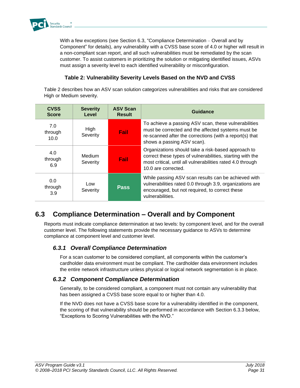

With a few exceptions (see Section 6.3, "Compliance Determination – Overall and by Component" for details), any vulnerability with a CVSS base score of 4.0 or higher will result in a non-compliant scan report, and all such vulnerabilities must be remediated by the scan customer. To assist customers in prioritizing the solution or mitigating identified issues, ASVs must assign a severity level to each identified vulnerability or misconfiguration.

### **Table 2: Vulnerability Severity Levels Based on the NVD and CVSS**

Table 2 describes how an ASV scan solution categorizes vulnerabilities and risks that are considered High or Medium severity.

| <b>CVSS</b><br><b>Score</b> | <b>Severity</b><br>Level  | <b>ASV Scan</b><br><b>Result</b> | Guidance                                                                                                                                                                                             |
|-----------------------------|---------------------------|----------------------------------|------------------------------------------------------------------------------------------------------------------------------------------------------------------------------------------------------|
| 7.0<br>through<br>10.0      | High<br>Severity          | Fail                             | To achieve a passing ASV scan, these vulnerabilities<br>must be corrected and the affected systems must be<br>re-scanned after the corrections (with a report(s) that<br>shows a passing ASV scan).  |
| 4.0<br>through<br>6.9       | <b>Medium</b><br>Severity | Fail                             | Organizations should take a risk-based approach to<br>correct these types of vulnerabilities, starting with the<br>most critical, until all vulnerabilities rated 4.0 through<br>10.0 are corrected. |
| 0.0<br>through<br>3.9       | Low<br>Severity           | Pass                             | While passing ASV scan results can be achieved with<br>vulnerabilities rated 0.0 through 3.9, organizations are<br>encouraged, but not required, to correct these<br>vulnerabilities.                |

# <span id="page-31-0"></span>**6.3 Compliance Determination – Overall and by Component**

Reports must indicate compliance determination at two levels: by component level, and for the overall customer level. The following statements provide the necessary guidance to ASVs to determine compliance at component level and customer level.

### *6.3.1 Overall Compliance Determination*

For a scan customer to be considered compliant, all components within the customer's cardholder data environment must be compliant. The cardholder data environment includes the entire network infrastructure unless physical or logical network segmentation is in place.

### *6.3.2 Component Compliance Determination*

Generally, to be considered compliant, a component must not contain any vulnerability that has been assigned a CVSS base score equal to or higher than 4.0.

If the NVD does not have a CVSS base score for a vulnerability identified in the component, the scoring of that vulnerability should be performed in accordance with Section 6.3.3 below, "Exceptions to Scoring Vulnerabilities with the NVD."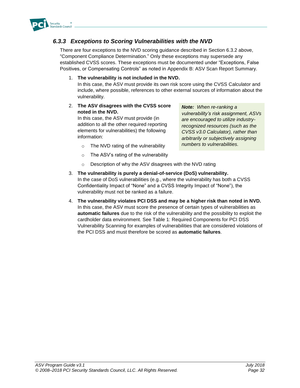

### *6.3.3 Exceptions to Scoring Vulnerabilities with the NVD*

There are four exceptions to the NVD scoring guidance described in Section 6.3.2 above, "Component Compliance Determination." Only these exceptions may supersede any established CVSS scores. These exceptions must be documented under "Exceptions, False Positives, or Compensating Controls" as noted in Appendix B: ASV Scan Report Summary.

1. **The vulnerability is not included in the NVD.**

In this case, the ASV must provide its own risk score using the CVSS Calculator and include, where possible, references to other external sources of information about the vulnerability.

2. **The ASV disagrees with the CVSS score noted in the NVD.**

In this case, the ASV must provide (in addition to all the other required reporting elements for vulnerabilities) the following information:

*Note: When re-ranking a vulnerability's risk assignment, ASVs are encouraged to utilize industryrecognized resources (such as the CVSS v3.0 Calculator), rather than arbitrarily or subjectively assigning numbers to vulnerabilities.*

- o The NVD rating of the vulnerability
- o The ASV's rating of the vulnerability
- o Description of why the ASV disagrees with the NVD rating
- 3. **The vulnerability is purely a denial-of-service (DoS) vulnerability.** In the case of DoS vulnerabilities (e.g., where the vulnerability has both a CVSS Confidentiality Impact of "None" and a CVSS Integrity Impact of "None"), the vulnerability must not be ranked as a failure.
- 4. **The vulnerability violates PCI DSS and may be a higher risk than noted in NVD.** In this case, the ASV must score the presence of certain types of vulnerabilities as **automatic failures** due to the risk of the vulnerability and the possibility to exploit the cardholder data environment. See Table 1: Required Components for PCI DSS Vulnerability Scanning for examples of vulnerabilities that are considered violations of the PCI DSS and must therefore be scored as **automatic failures**.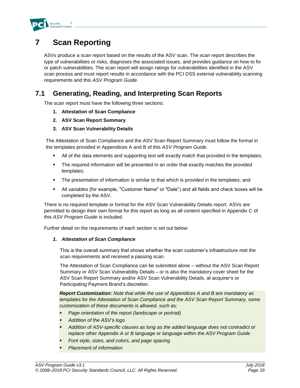

# <span id="page-33-0"></span>**7 Scan Reporting**

ASVs produce a scan report based on the results of the ASV scan. The scan report describes the type of vulnerabilities or risks, diagnoses the associated issues, and provides guidance on how to fix or patch vulnerabilities. The scan report will assign ratings for vulnerabilities identified in the ASV scan process and must report results in accordance with the PCI DSS external vulnerability scanning requirements and this *ASV Program Guide*.

## <span id="page-33-1"></span>**7.1 Generating, Reading, and Interpreting Scan Reports**

The scan report must have the following three sections:

- **1. Attestation of Scan Compliance**
- **2. ASV Scan Report Summary**
- **3. ASV Scan Vulnerability Details**

The Attestation of Scan Compliance and the ASV Scan Report Summary must follow the format in the templates provided in Appendices A and B of this *ASV Program Guide*.

- All of the data elements and supporting text will exactly match that provided in the templates;
- **•** The required information will be presented in an order that exactly matches the provided templates;
- **•** The presentation of information is similar to that which is provided in the templates; and
- All variables (for example, "Customer Name" or "Date") and all fields and check boxes will be completed by the ASV.

There is no required template or format for the ASV Scan Vulnerability Details report. ASVs are permitted to design their own format for this report as long as all content specified in Appendix C of this *ASV Program Guide* is included.

Further detail on the requirements of each section is set out below:

### *1. Attestation of Scan Compliance*

This is the overall summary that shows whether the scan customer's infrastructure met the scan requirements and received a passing scan.

The Attestation of Scan Compliance can be submitted alone – without the ASV Scan Report Summary or ASV Scan Vulnerability Details – or is also the mandatory cover sheet for the ASV Scan Report Summary and/or ASV Scan Vulnerability Details, at acquirer's or Participating Payment Brand's discretion.

*Report Customization: Note that while the use of Appendices A and B are mandatory as templates for the Attestation of Scan Compliance and the ASV Scan Report Summary, some customization of these documents is allowed, such as:*

- **Page orientation of the report (landscape or portrait)**
- *Addition of the ASV's logo*
- *Addition of ASV-specific clauses as long as the added language does not contradict or replace other Appendix A or B language or language within the ASV Program Guide*
- Font style, sizes, and colors, and page spacing
- **Placement of information**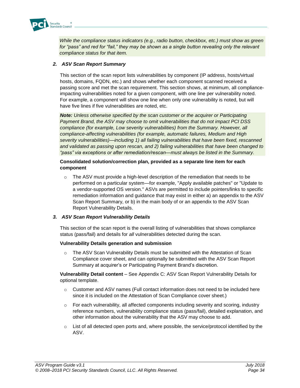

*While the compliance status indicators (e.g., radio button, checkbox, etc.) must show as green*  for "pass" and red for "fail," they may be shown as a single button revealing only the relevant *compliance status for that item.*

### *2. ASV Scan Report Summary*

This section of the scan report lists vulnerabilities by component (IP address, hosts/virtual hosts, domains, FQDN, etc.) and shows whether each component scanned received a passing score and met the scan requirement. This section shows, at minimum, all complianceimpacting vulnerabilities noted for a given component, with one line per vulnerability noted. For example, a component will show one line when only one vulnerability is noted, but will have five lines if five vulnerabilities are noted, etc.

*Note: Unless otherwise specified by the scan customer or the acquirer or Participating Payment Brand, the ASV may choose to omit vulnerabilities that do not impact PCI DSS compliance (for example, Low severity vulnerabilities) from the Summary. However, all compliance-affecting vulnerabilities (for example, automatic failures, Medium and High severity vulnerabilities)—including 1) all failing vulnerabilities that have been fixed, rescanned and validated as passing upon rescan, and 2) failing vulnerabilities that have been changed to "pass" via exceptions or after remediation/rescan—must always be listed in the Summary.*

#### **Consolidated solution/correction plan, provided as a separate line item for each component**

 $\circ$  The ASV must provide a high-level description of the remediation that needs to be performed on a particular system—for example, "Apply available patches" or "Update to a vendor-supported OS version." ASVs are permitted to include pointers/links to specific remediation information and guidance that may exist in either a) an appendix to the ASV Scan Report Summary, or b) in the main body of or an appendix to the ASV Scan Report Vulnerability Details.

### *3. ASV Scan Report Vulnerability Details*

This section of the scan report is the overall listing of vulnerabilities that shows compliance status (pass/fail) and details for *all* vulnerabilities detected during the scan.

### **Vulnerability Details generation and submission**

 $\circ$  The ASV Scan Vulnerability Details must be submitted with the Attestation of Scan Compliance cover sheet, and can optionally be submitted with the ASV Scan Report Summary at acquirer's or Participating Payment Brand's discretion.

**Vulnerability Detail content** – See Appendix C: ASV Scan Report Vulnerability Details for optional template.

- $\circ$  Customer and ASV names (Full contact information does not need to be included here since it is included on the Attestation of Scan Compliance cover sheet.)
- $\circ$  For each vulnerability, all affected components including severity and scoring, industry reference numbers, vulnerability compliance status (pass/fail), detailed explanation, and other information about the vulnerability that the ASV may choose to add.
- $\circ$  List of all detected open ports and, where possible, the service/protocol identified by the ASV.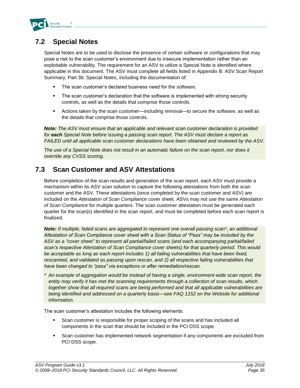

## <span id="page-35-0"></span>**7.2 Special Notes**

Special Notes are to be used to disclose the presence of certain software or configurations that may pose a risk to the scan customer's environment due to insecure implementation rather than an exploitable vulnerability. The requirement for an ASV to utilize a Special Note is identified where applicable in this document. The ASV must complete all fields listed in Appendix B: ASV Scan Report Summary, Part 3b: Special Notes, including the documentation of:

- The scan customer's declared business need for the software.
- **•** The scan customer's declaration that the software is implemented with strong security controls, as well as the details that comprise those controls.
- Actions taken by the scan customer—including removal—to secure the software, as well as the details that comprise those controls.

*Note: The ASV must ensure that an applicable and relevant scan customer declaration is provided for each Special Note before issuing a passing scan report. The ASV must declare a report as FAILED until all applicable scan customer declarations have been obtained and reviewed by the ASV.*

*The use of a Special Note does not result in an automatic failure on the scan report, nor does it override any CVSS scoring.*

## <span id="page-35-1"></span>**7.3 Scan Customer and ASV Attestations**

Before completion of the scan results and generation of the scan report, each ASV must provide a mechanism within its ASV scan solution to capture the following attestations from both the scan customer and the ASV. These attestations (once completed by the scan customer and ASV) are included on the *Attestation of Scan Compliance* cover sheet. ASVs may not use the same *Attestation of Scan Compliance* for multiple quarters. The scan customer attestation must be generated each quarter for the scan(s) identified in the scan report, and must be completed before each scan report is finalized.

*Note: If multiple, failed scans are aggregated to represent one overall passing scan\*, an additional Attestation of Scan Compliance cover sheet with a Scan Status of "Pass" may be included by the ASV as a "cover sheet" to represent all partial/failed scans (and each accompanying partial/failed scan's respective Attestation of Scan Compliance cover sheets) for that quarterly period. This would be acceptable as long as each report includes 1) all failing vulnerabilities that have been fixed, rescanned, and validated as passing upon rescan, and 2) all respective failing vulnerabilities that have been changed to "pass" via exceptions or after remediation/rescan.*

*\* An example of aggregation would be instead of having a single, environment-wide scan report, the entity may verify it has met the scanning requirements through a collection of scan results, which together show that all required scans are being performed and that all applicable vulnerabilities are being identified and addressed on a quarterly basis—see FAQ 1152 on the Website for additional information.*

The scan customer's attestation includes the following elements:

- Scan customer is responsible for proper scoping of the scans and has included all components in the scan that should be included in the PCI DSS scope.
- Scan customer has implemented network segmentation if any components are excluded from PCI DSS scope.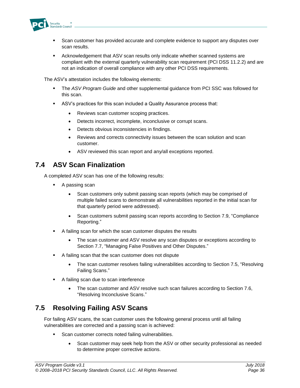

- **•** Scan customer has provided accurate and complete evidence to support any disputes over scan results.
- **EXE** Acknowledgement that ASV scan results only indicate whether scanned systems are compliant with the external quarterly vulnerability scan requirement (PCI DSS 11.2.2) and are not an indication of overall compliance with any other PCI DSS requirements.

The ASV's attestation includes the following elements:

- **The ASV Program Guide and other supplemental guidance from PCI SSC was followed for** this scan.
- ASV's practices for this scan included a Quality Assurance process that:
	- Reviews scan customer scoping practices.
	- Detects incorrect, incomplete, inconclusive or corrupt scans.
	- Detects obvious inconsistencies in findings.
	- Reviews and corrects connectivity issues between the scan solution and scan customer.
	- ASV reviewed this scan report and any/all exceptions reported.

### <span id="page-36-0"></span>**7.4 ASV Scan Finalization**

A completed ASV scan has one of the following results:

- A passing scan
	- Scan customers only submit passing scan reports (which may be comprised of multiple failed scans to demonstrate all vulnerabilities reported in the initial scan for that quarterly period were addressed).
	- Scan customers submit passing scan reports according to Section 7.9, "Compliance Reporting."
- A failing scan for which the scan customer disputes the results
	- The scan customer and ASV resolve any scan disputes or exceptions according to Section 7.7, "Managing False Positives and Other Disputes."
- A failing scan that the scan customer does not dispute
	- The scan customer resolves failing vulnerabilities according to Section 7.5, "Resolving Failing Scans."
- A failing scan due to scan interference
	- The scan customer and ASV resolve such scan failures according to Section 7.6, "Resolving Inconclusive Scans."

### <span id="page-36-1"></span>**7.5 Resolving Failing ASV Scans**

For failing ASV scans, the scan customer uses the following general process until all failing vulnerabilities are corrected and a passing scan is achieved:

- Scan customer corrects noted failing vulnerabilities.
	- Scan customer may seek help from the ASV or other security professional as needed to determine proper corrective actions.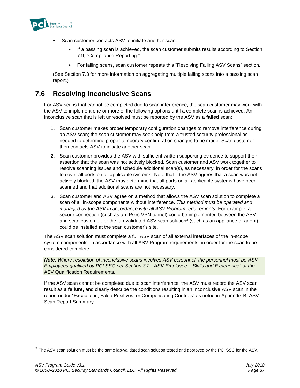

- Scan customer contacts ASV to initiate another scan.
	- If a passing scan is achieved, the scan customer submits results according to Section 7.9, "Compliance Reporting."
	- For failing scans, scan customer repeats this "Resolving Failing ASV Scans" section.

(See Section 7.3 for more information on aggregating multiple failing scans into a passing scan report.)

### <span id="page-37-0"></span>**7.6 Resolving Inconclusive Scans**

For ASV scans that cannot be completed due to scan interference, the scan customer may work with the ASV to implement one or more of the following options until a complete scan is achieved. An inconclusive scan that is left unresolved must be reported by the ASV as a **failed** scan:

- 1. Scan customer makes proper temporary configuration changes to remove interference during an ASV scan; the scan customer may seek help from a trusted security professional as needed to determine proper temporary configuration changes to be made. Scan customer then contacts ASV to initiate another scan.
- 2. Scan customer provides the ASV with sufficient written supporting evidence to support their assertion that the scan was not actively blocked. Scan customer and ASV work together to resolve scanning issues and schedule additional scan(s), as necessary, in order for the scans to cover all ports on all applicable systems. Note that if the ASV agrees that a scan was not actively blocked, the ASV may determine that all ports on all applicable systems have been scanned and that additional scans are not necessary.
- 3. Scan customer and ASV agree on a method that allows the ASV scan solution to complete a scan of all in-scope components without interference. *This method must be operated and managed by the ASV in accordance with all ASV Program requirements*. For example, a secure connection (such as an IPsec VPN tunnel) could be implemented between the ASV and scan customer, or the lab-validated ASV scan solution**<sup>3</sup>** (such as an appliance or agent) could be installed at the scan customer's site.

The ASV scan solution must complete a full ASV scan of all external interfaces of the in-scope system components, in accordance with all ASV Program requirements*,* in order for the scan to be considered complete.

*Note: Where resolution of inconclusive scans involves ASV personnel, the personnel must be ASV Employees qualified by PCI SSC per Section 3.2, "ASV Employee – Skills and Experience" of the*  ASV Qualification Requirements*.*

If the ASV scan cannot be completed due to scan interference, the ASV must record the ASV scan result as a **failure**, and clearly describe the conditions resulting in an inconclusive ASV scan in the report under "Exceptions, False Positives, or Compensating Controls" as noted in Appendix B: ASV Scan Report Summary.

l

 $^3$  The ASV scan solution must be the same lab-validated scan solution tested and approved by the PCI SSC for the ASV.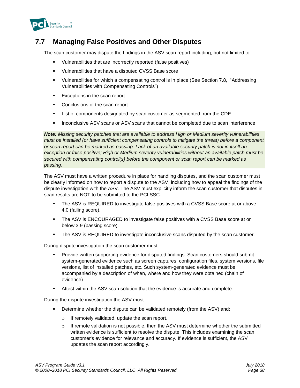

### <span id="page-38-0"></span>**7.7 Managing False Positives and Other Disputes**

The scan customer may dispute the findings in the ASV scan report including, but not limited to:

- Vulnerabilities that are incorrectly reported (false positives)
- Vulnerabilities that have a disputed CVSS Base score
- Vulnerabilities for which a compensating control is in place (See Section 7.8, "Addressing Vulnerabilities with Compensating Controls")
- Exceptions in the scan report
- Conclusions of the scan report
- **EXECT** List of components designated by scan customer as segmented from the CDE
- **EXECT** Inconclusive ASV scans or ASV scans that cannot be completed due to scan interference

*Note: Missing security patches that are available to address High or Medium severity vulnerabilities must be installed (or have sufficient compensating controls to mitigate the threat) before a component or scan report can be marked as passing. Lack of an available security patch is not in itself an exception or false positive; High or Medium severity vulnerabilities without an available patch must be secured with compensating control(s) before the component or scan report can be marked as passing.*

The ASV must have a written procedure in place for handling disputes, and the scan customer must be clearly informed on how to report a dispute to the ASV, including how to appeal the findings of the dispute investigation with the ASV. The ASV must explicitly inform the scan customer that disputes in scan results are NOT to be submitted to the PCI SSC.

- The ASV is REQUIRED to investigate false positives with a CVSS Base score at or above 4.0 (failing score).
- The ASV is ENCOURAGED to investigate false positives with a CVSS Base score at or below 3.9 (passing score).
- **The ASV is REQUIRED to investigate inconclusive scans disputed by the scan customer.**

During dispute investigation the scan customer must:

- **•** Provide written supporting evidence for disputed findings. Scan customers should submit system-generated evidence such as screen captures, configuration files, system versions, file versions, list of installed patches, etc. Such system-generated evidence must be accompanied by a description of when, where and how they were obtained (chain of evidence)
- Attest within the ASV scan solution that the evidence is accurate and complete.

During the dispute investigation the ASV must:

- **•** Determine whether the dispute can be validated remotely (from the ASV) and:
	- o If remotely validated, update the scan report.
	- $\circ$  If remote validation is not possible, then the ASV must determine whether the submitted written evidence is sufficient to resolve the dispute. This includes examining the scan customer's evidence for relevance and accuracy. If evidence is sufficient, the ASV updates the scan report accordingly.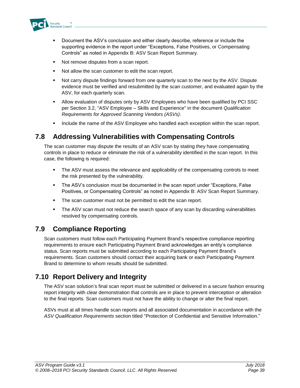

- Document the ASV's conclusion and either clearly describe, reference or include the supporting evidence in the report under "Exceptions, False Positives, or Compensating Controls" as noted in Appendix B: ASV Scan Report Summary.
- Not remove disputes from a scan report.
- Not allow the scan customer to edit the scan report.
- Not carry dispute findings forward from one quarterly scan to the next by the ASV. Dispute evidence must be verified and resubmitted by the scan customer, and evaluated again by the ASV, for each quarterly scan.
- **■** Allow evaluation of disputes only by ASV Employees who have been qualified by PCI SSC per Section 3.2, "ASV Employee – Skills and Experience" in the document *Qualification Requirements for Approved Scanning Vendors (ASVs)*.
- **■** Include the name of the ASV Employee who handled each exception within the scan report.

### <span id="page-39-0"></span>**7.8 Addressing Vulnerabilities with Compensating Controls**

The scan customer may dispute the results of an ASV scan by stating they have compensating controls in place to reduce or eliminate the risk of a vulnerability identified in the scan report. In this case, the following is required:

- **•** The ASV must assess the relevance and applicability of the compensating controls to meet the risk presented by the vulnerability.
- The ASV's conclusion must be documented in the scan report under "Exceptions, False Positives, or Compensating Controls" as noted in Appendix B: ASV Scan Report Summary.
- The scan customer must not be permitted to edit the scan report.
- **•** The ASV scan must not reduce the search space of any scan by discarding vulnerabilities resolved by compensating controls.

## <span id="page-39-1"></span>**7.9 Compliance Reporting**

Scan customers must follow each Participating Payment Brand's respective compliance reporting requirements to ensure each Participating Payment Brand acknowledges an entity's compliance status. Scan reports must be submitted according to each Participating Payment Brand's requirements. Scan customers should contact their acquiring bank or each Participating Payment Brand to determine to whom results should be submitted.

# <span id="page-39-2"></span>**7.10 Report Delivery and Integrity**

The ASV scan solution's final scan report must be submitted or delivered in a secure fashion ensuring report integrity with clear demonstration that controls are in place to prevent interception or alteration to the final reports. Scan customers must not have the ability to change or alter the final report.

ASVs must at all times handle scan reports and all associated documentation in accordance with the *ASV Qualification Requirements* section titled "Protection of Confidential and Sensitive Information."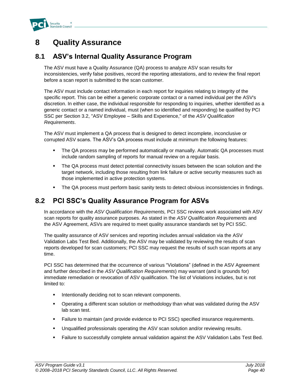

# <span id="page-40-0"></span>**8 Quality Assurance**

### <span id="page-40-1"></span>**8.1 ASV's Internal Quality Assurance Program**

The ASV must have a Quality Assurance (QA) process to analyze ASV scan results for inconsistencies, verify false positives, record the reporting attestations, and to review the final report before a scan report is submitted to the scan customer.

The ASV must include contact information in each report for inquiries relating to integrity of the specific report. This can be either a generic corporate contact or a named individual per the ASV's discretion. In either case, the individual responsible for responding to inquiries, whether identified as a generic contact or a named individual, must (when so identified and responding) be qualified by PCI SSC per Section 3.2, "ASV Employee – Skills and Experience," of the *ASV Qualification Requirements*.

The ASV must implement a QA process that is designed to detect incomplete, inconclusive or corrupted ASV scans. The ASV's QA process must include at minimum the following features:

- **The QA process may be performed automatically or manually. Automatic QA processes must** include random sampling of reports for manual review on a regular basis.
- **The QA process must detect potential connectivity issues between the scan solution and the** target network, including those resulting from link failure or active security measures such as those implemented in active protection systems.
- **The QA process must perform basic sanity tests to detect obvious inconsistencies in findings.**

### <span id="page-40-2"></span>**8.2 PCI SSC's Quality Assurance Program for ASVs**

In accordance with the *ASV Qualification Requirements,* PCI SSC reviews work associated with ASV scan reports for quality assurance purposes. As stated in the *ASV Qualification Requirements* and the ASV Agreement, ASVs are required to meet quality assurance standards set by PCI SSC.

The quality assurance of ASV services and reporting includes annual validation via the ASV Validation Labs Test Bed. Additionally, the ASV may be validated by reviewing the results of scan reports developed for scan customers; PCI SSC may request the results of such scan reports at any time.

PCI SSC has determined that the occurrence of various "Violations" (defined in the ASV Agreement and further described in the *ASV Qualification Requirements*) may warrant (and is grounds for) immediate remediation or revocation of ASV qualification. The list of Violations includes, but is not limited to:

- Intentionally deciding not to scan relevant components.
- Operating a different scan solution or methodology than what was validated during the ASV lab scan test.
- **•** Failure to maintain (and provide evidence to PCI SSC) specified insurance requirements.
- Unqualified professionals operating the ASV scan solution and/or reviewing results.
- Failure to successfully complete annual validation against the ASV Validation Labs Test Bed.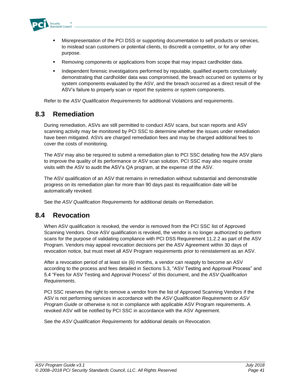

- Misrepresentation of the PCI DSS or supporting documentation to sell products or services, to mislead scan customers or potential clients, to discredit a competitor, or for any other purpose.
- Removing components or applications from scope that may impact cardholder data.
- **•** Independent forensic investigations performed by reputable, qualified experts conclusively demonstrating that cardholder data was compromised, the breach occurred on systems or by system components evaluated by the ASV, and the breach occurred as a direct result of the ASV's failure to properly scan or report the systems or system components.

Refer to the *ASV Qualification Requirements* for additional Violations and requirements.

### <span id="page-41-0"></span>**8.3 Remediation**

During remediation, ASVs are still permitted to conduct ASV scans, but scan reports and ASV scanning activity may be monitored by PCI SSC to determine whether the issues under remediation have been mitigated. ASVs are charged remediation fees and may be charged additional fees to cover the costs of monitoring.

The ASV may also be required to submit a remediation plan to PCI SSC detailing how the ASV plans to improve the quality of its performance or ASV scan solution. PCI SSC may also require onsite visits with the ASV to audit the ASV's QA program, at the expense of the ASV.

The ASV qualification of an ASV that remains in remediation without substantial and demonstrable progress on its remediation plan for more than 90 days past its requalification date will be automatically revoked.

See the *ASV Qualification Requirements* for additional details on Remediation.

### <span id="page-41-1"></span>**8.4 Revocation**

When ASV qualification is revoked, the vendor is removed from the PCI SSC list of Approved Scanning Vendors. Once ASV qualification is revoked, the vendor is no longer authorized to perform scans for the purpose of validating compliance with PCI DSS Requirement 11.2.2 as part of the ASV Program. Vendors may appeal revocation decisions per the ASV Agreement within 30 days of revocation notice, but must meet all ASV Program requirements prior to reinstatement as an ASV.

After a revocation period of at least six (6) months, a vendor can reapply to become an ASV according to the process and fees detailed in Sections 5.3, "ASV Testing and Approval Process" and 5.4 "Fees for ASV Testing and Approval Process" of this document, and the *ASV Qualification Requirements*.

PCI SSC reserves the right to remove a vendor from the list of Approved Scanning Vendors if the ASV is not performing services in accordance with the *ASV Qualification Requirements* or *ASV Program Guide* or otherwise is not in compliance with applicable ASV Program requirements*.* A revoked ASV will be notified by PCI SSC in accordance with the ASV Agreement.

See the *ASV Qualification Requirements* for additional details on Revocation.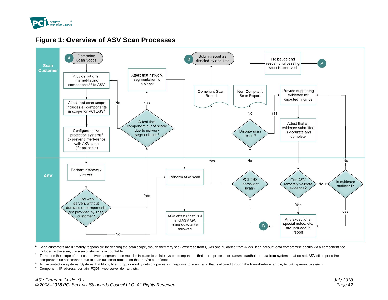

<span id="page-42-0"></span>

### **Figure 1: Overview of ASV Scan Processes**

<sup>1</sup> Scan customers are ultimately responsible for defining the scan scope, though they may seek expertise from QSAs and quidance from ASVs. If an account data compromise occurs via a component not included in the scan, the scan customer is accountable.

 $2$  To reduce the scope of the scan, network segmentation must be in place to isolate system components that store, process, or transmit cardholder data from systems that do not. ASV still reports these components as not scanned due to scan customer attestation that they're out of scope.

<sup>3</sup> Active protection systems: Systems that block, filter, drop, or modify network packets in response to scan traffic that is allowed through the firewall—for example, intrusion-prevention systems.

<sup>4</sup> Component: IP address, domain, FQDN, web server domain, etc.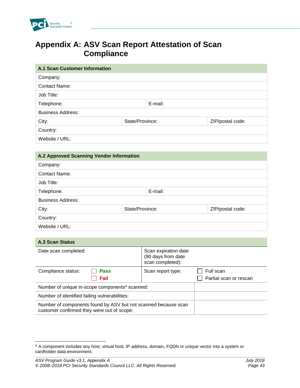

# <span id="page-43-0"></span>**Appendix A: ASV Scan Report Attestation of Scan Compliance**

| <b>A.1 Scan Customer Information</b> |                 |         |                  |  |  |  |
|--------------------------------------|-----------------|---------|------------------|--|--|--|
| Company:                             |                 |         |                  |  |  |  |
| <b>Contact Name:</b>                 |                 |         |                  |  |  |  |
| Job Title:                           |                 |         |                  |  |  |  |
| Telephone:                           |                 | E-mail: |                  |  |  |  |
| <b>Business Address:</b>             |                 |         |                  |  |  |  |
| City:                                | State/Province: |         | ZIP/postal code: |  |  |  |
| Country:                             |                 |         |                  |  |  |  |
| Website / URL:                       |                 |         |                  |  |  |  |

| A.2 Approved Scanning Vendor Information     |  |  |  |  |  |  |
|----------------------------------------------|--|--|--|--|--|--|
| Company:                                     |  |  |  |  |  |  |
| <b>Contact Name:</b>                         |  |  |  |  |  |  |
| Job Title:                                   |  |  |  |  |  |  |
| E-mail:<br>Telephone:                        |  |  |  |  |  |  |
| <b>Business Address:</b>                     |  |  |  |  |  |  |
| State/Province:<br>City:<br>ZIP/postal code: |  |  |  |  |  |  |
| Country:                                     |  |  |  |  |  |  |
| Website / URL:                               |  |  |  |  |  |  |

| <b>A.3 Scan Status</b>                                                                                       |                                                                |                        |  |  |  |  |  |
|--------------------------------------------------------------------------------------------------------------|----------------------------------------------------------------|------------------------|--|--|--|--|--|
| Date scan completed:                                                                                         | Scan expiration date<br>(90 days from date<br>scan completed): |                        |  |  |  |  |  |
| Compliance status:<br><b>Pass</b>                                                                            | Scan report type:                                              | Full scan              |  |  |  |  |  |
| Fail                                                                                                         |                                                                | Partial scan or rescan |  |  |  |  |  |
| Number of unique in-scope components <sup>4</sup> scanned:                                                   |                                                                |                        |  |  |  |  |  |
| Number of identified failing vulnerabilities:                                                                |                                                                |                        |  |  |  |  |  |
| Number of components found by ASV but not scanned because scan<br>customer confirmed they were out of scope: |                                                                |                        |  |  |  |  |  |

l

<sup>4</sup> A component includes any host, virtual host, IP address, domain, FQDN or unique vector into a system or cardholder data environment.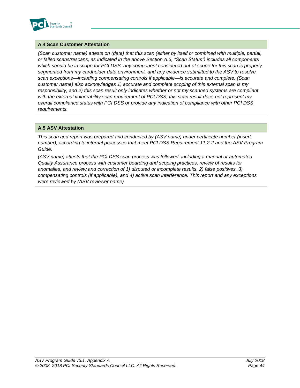

### **A.4 Scan Customer Attestation**

*(Scan customer name) attests on (date) that this scan (either by itself or combined with multiple, partial, or failed scans/rescans, as indicated in the above Section A.3, "Scan Status") includes all components which should be in scope for PCI DSS, any component considered out of scope for this scan is properly segmented from my cardholder data environment, and any evidence submitted to the ASV to resolve scan exceptions—including compensating controls if applicable—is accurate and complete. (Scan customer name) also acknowledges 1) accurate and complete scoping of this external scan is my responsibility, and 2) this scan result only indicates whether or not my scanned systems are compliant with the external vulnerability scan requirement of PCI DSS; this scan result does not represent my overall compliance status with PCI DSS or provide any indication of compliance with other PCI DSS requirements.*

### **A.5 ASV Attestation**

*This scan and report was prepared and conducted by (ASV name) under certificate number (insert number), according to internal processes that meet PCI DSS Requirement 11.2.2 and the ASV Program Guide*.

*(ASV name) attests that the PCI DSS scan process was followed, including a manual or automated Quality Assurance process with customer boarding and scoping practices, review of results for anomalies, and review and correction of 1) disputed or incomplete results, 2) false positives, 3) compensating controls (if applicable), and 4) active scan interference. This report and any exceptions were reviewed by (ASV reviewer name).*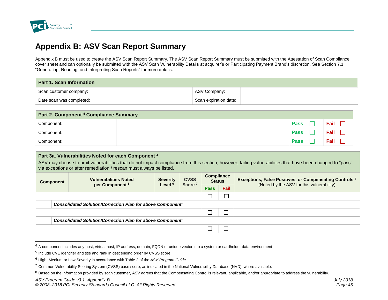

l

# **Appendix B: ASV Scan Report Summary**

Appendix B must be used to create the ASV Scan Report Summary. The ASV Scan Report Summary must be submitted with the Attestation of Scan Compliance cover sheet and can optionally be submitted with the ASV Scan Vulnerability Details at acquirer's or Participating Payment Brand's discretion. See Section 7.1, "Generating, Reading, and Interpreting Scan Reports" for more details.

| <b>Part 1. Scan Information</b>  |  |                       |  |  |  |
|----------------------------------|--|-----------------------|--|--|--|
| Scan customer company:           |  | ASV Company:          |  |  |  |
| Date scan was completed: $\vert$ |  | Scan expiration date: |  |  |  |

<span id="page-45-0"></span>

| Part 2. Component <sup>4</sup> Compliance Summary |  |             |  |      |  |  |
|---------------------------------------------------|--|-------------|--|------|--|--|
| Component:                                        |  | <b>Pass</b> |  | ⊏ail |  |  |
| Component:                                        |  | <b>Pass</b> |  | Fail |  |  |
| Component:                                        |  | <b>Pass</b> |  | Fail |  |  |

### **Part 3a. Vulnerabilities Noted for each Component <sup>4</sup>**

ASV may choose to omit vulnerabilities that do not impact compliance from this section, however, failing vulnerabilities that have been changed to "pass" via exceptions or after remediation / rescan must always be listed.

| <b>Component</b>                                                  | <b>Vulnerabilities Noted</b><br>per Component <sup>5</sup>        | <b>Severity</b><br>Level <sup>6</sup><br>Score <sup>7</sup> | <b>CVSS</b> | <b>Compliance</b><br><b>Status</b> |             | <b>Exceptions, False Positives, or Compensating Controls 8</b><br>(Noted by the ASV for this vulnerability) |  |
|-------------------------------------------------------------------|-------------------------------------------------------------------|-------------------------------------------------------------|-------------|------------------------------------|-------------|-------------------------------------------------------------------------------------------------------------|--|
|                                                                   |                                                                   |                                                             |             | <b>Pass</b>                        | <b>Fail</b> |                                                                                                             |  |
|                                                                   |                                                                   |                                                             |             |                                    |             |                                                                                                             |  |
|                                                                   | <b>Consolidated Solution/Correction Plan for above Component:</b> |                                                             |             |                                    |             |                                                                                                             |  |
|                                                                   |                                                                   |                                                             |             |                                    |             |                                                                                                             |  |
| <b>Consolidated Solution/Correction Plan for above Component:</b> |                                                                   |                                                             |             |                                    |             |                                                                                                             |  |
|                                                                   |                                                                   |                                                             |             |                                    |             |                                                                                                             |  |

<sup>4</sup> A component includes any host, virtual host, IP address, domain, FQDN or unique vector into a system or cardholder data environment

<sup>&</sup>lt;sup>5</sup> Include CVE identifier and title and rank in descending order by CVSS score.

<sup>6</sup> High, Medium or Low Severity in accordance with Table 2 of the *ASV Program Guide*.

 $^7$  Common Vulnerability Scoring System (CVSS) base score, as indicated in the National Vulnerability Database (NVD), where available.

<sup>8</sup> Based on the information provided by scan customer, ASV agrees that the Compensating Control is relevant, applicable, and/or appropriate to address the vulnerability.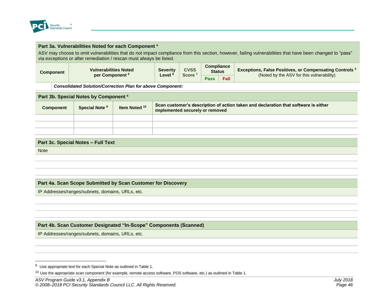

#### **Part 3a. Vulnerabilities Noted for each Component <sup>4</sup>**

ASV may choose to omit vulnerabilities that do not impact compliance from this section, however, failing vulnerabilities that have been changed to "pass" via exceptions or after remediation / rescan must always be listed.

| Component | <b>Vulnerabilities Noted</b><br>per Component <sup>3</sup> | <b>Severity</b><br>Level <sup>e</sup> | <b>CVSS</b><br><b>Score</b> | Compliance<br><b>Status</b> | <b>Exceptions, False Positives, or Compensating Controls 8</b><br>(Noted by the ASV for this vulnerability) |
|-----------|------------------------------------------------------------|---------------------------------------|-----------------------------|-----------------------------|-------------------------------------------------------------------------------------------------------------|
|           |                                                            |                                       |                             | <b>Fail</b><br><b>Pass</b>  |                                                                                                             |

*Consolidated Solution/Correction Plan for above Component:* 

| Part 3b. Special Notes by Component <sup>4</sup> |                           |               |                                                                                                                        |  |  |  |  |
|--------------------------------------------------|---------------------------|---------------|------------------------------------------------------------------------------------------------------------------------|--|--|--|--|
| <b>Component</b>                                 | Special Note <sup>9</sup> | Item Noted 10 | Scan customer's description of action taken and declaration that software is either<br>implemented securely or removed |  |  |  |  |
|                                                  |                           |               |                                                                                                                        |  |  |  |  |
|                                                  |                           |               |                                                                                                                        |  |  |  |  |
|                                                  |                           |               |                                                                                                                        |  |  |  |  |
|                                                  |                           |               |                                                                                                                        |  |  |  |  |
| Part 3c. Special Notes - Full Text               |                           |               |                                                                                                                        |  |  |  |  |

**Note** 

l

### **Part 4a. Scan Scope Submitted by Scan Customer for Discovery**

IP Addresses/ranges/subnets, domains, URLs, etc.

#### **Part 4b. Scan Customer Designated "In-Scope" Components (Scanned)**

IP Addresses/ranges/subnets, domains, URLs, etc.

 $9$  Use appropriate text for each Special Note as outlined in Table 1.

 $10$  Use the appropriate scan component (for example, remote access software, POS software, etc.) as outlined in Table 1.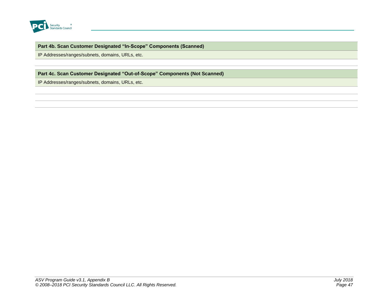

### **Part 4b. Scan Customer Designated "In-Scope" Components (Scanned)**

IP Addresses/ranges/subnets, domains, URLs, etc.

### **Part 4c. Scan Customer Designated "Out-of-Scope" Components (Not Scanned)**

IP Addresses/ranges/subnets, domains, URLs, etc.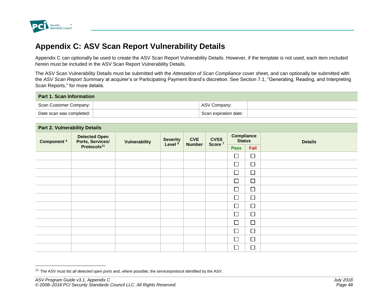

l

# **Appendix C: ASV Scan Report Vulnerability Details**

Appendix C can optionally be used to create the ASV Scan Report Vulnerability Details. However, if the template is not used, each item included herein must be included in the ASV Scan Report Vulnerability Details.

The ASV Scan Vulnerability Details must be submitted with the *Attestation of Scan Compliance* cover sheet, and can optionally be submitted with the *ASV Scan Report Summary* at acquirer's or Participating Payment Brand's discretion. See Section 7.1, "Generating, Reading, and Interpreting Scan Reports," for more details.

| <b>Part 1. Scan Information</b> |  |                       |  |  |  |  |  |
|---------------------------------|--|-----------------------|--|--|--|--|--|
| Scan Customer Company:          |  | ASV Company:          |  |  |  |  |  |
| Date scan was completed:        |  | Scan expiration date: |  |  |  |  |  |

<span id="page-48-0"></span>

| <b>Part 2. Vulnerability Details</b> |                                          |                      |                                       |                             |                                   |                                    |        |                |
|--------------------------------------|------------------------------------------|----------------------|---------------------------------------|-----------------------------|-----------------------------------|------------------------------------|--------|----------------|
| <b>Component 4</b>                   | <b>Detected Open</b><br>Ports, Services/ | <b>Vulnerability</b> | <b>Severity</b><br>Level <sup>6</sup> | <b>CVE</b><br><b>Number</b> | <b>CVSS</b><br>Score <sup>7</sup> | <b>Compliance</b><br><b>Status</b> |        | <b>Details</b> |
|                                      | Protocols <sup>11</sup>                  |                      |                                       |                             |                                   | <b>Pass</b>                        | Fail   |                |
|                                      |                                          |                      |                                       |                             |                                   | $\Box$                             | $\Box$ |                |
|                                      |                                          |                      |                                       |                             |                                   | $\Box$                             | $\Box$ |                |
|                                      |                                          |                      |                                       |                             |                                   | $\Box$                             | $\Box$ |                |
|                                      |                                          |                      |                                       |                             |                                   | $\Box$                             | $\Box$ |                |
|                                      |                                          |                      |                                       |                             |                                   | $\Box$                             | $\Box$ |                |
|                                      |                                          |                      |                                       |                             |                                   | $\Box$                             | $\Box$ |                |
|                                      |                                          |                      |                                       |                             |                                   | $\Box$                             | $\Box$ |                |
|                                      |                                          |                      |                                       |                             |                                   | $\Box$                             | $\Box$ |                |
|                                      |                                          |                      |                                       |                             |                                   | $\Box$                             | $\Box$ |                |
|                                      |                                          |                      |                                       |                             |                                   | $\Box$                             | $\Box$ |                |
|                                      |                                          |                      |                                       |                             |                                   | $\Box$                             | $\Box$ |                |
|                                      |                                          |                      |                                       |                             |                                   | $\Box$                             | $\Box$ |                |

<sup>11</sup> The ASV must list *all detected open ports* and, where possible, the service/protocol identified by the ASV.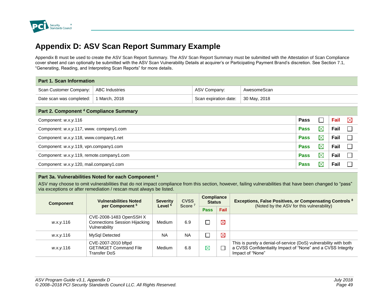

# **Appendix D: ASV Scan Report Summary Example**

Appendix B must be used to create the ASV Scan Report Summary. The ASV Scan Report Summary must be submitted with the Attestation of Scan Compliance cover sheet and can optionally be submitted with the ASV Scan Vulnerability Details at acquirer's or Participating Payment Brand's discretion. See Section 7.1, "Generating, Reading, and Interpreting Scan Reports" for more details.

| <b>Part 1. Scan Information</b>                                                    |                                                                              |              |             |  |  |  |  |  |
|------------------------------------------------------------------------------------|------------------------------------------------------------------------------|--------------|-------------|--|--|--|--|--|
| Scan Customer Company:                                                             | <b>ABC Industries</b>                                                        | ASV Company: | AwesomeScan |  |  |  |  |  |
| 30 May, 2018<br>Date scan was completed:<br>1 March, 2018<br>Scan expiration date: |                                                                              |              |             |  |  |  |  |  |
|                                                                                    |                                                                              |              |             |  |  |  |  |  |
| Part 2. Component <sup>4</sup> Compliance Summary                                  |                                                                              |              |             |  |  |  |  |  |
| Component: w.x.y.116                                                               | $\boxtimes$<br>Fail<br>Pass<br>$\sim$                                        |              |             |  |  |  |  |  |
| $\boxtimes$<br>Fail<br><b>Pass</b><br>Component: w.x.y.117, www. company1.com      |                                                                              |              |             |  |  |  |  |  |
|                                                                                    | $\boxtimes$<br>Fail<br><b>Pass</b><br>Component: w.x.y.118, www.company1.net |              |             |  |  |  |  |  |
| $\boxtimes$<br>Fail<br><b>Pass</b><br>Component: w.x.y.119, vpn.company1.com       |                                                                              |              |             |  |  |  |  |  |
| $\boxtimes$<br>Fail<br><b>Pass</b><br>Component: w.x.y.119, remote.company1.com    |                                                                              |              |             |  |  |  |  |  |
| $\boxtimes$<br>Fail<br><b>Pass</b><br>Component: w.x.y.120, mail.company1.com      |                                                                              |              |             |  |  |  |  |  |

#### <span id="page-49-0"></span>**Part 3a. Vulnerabilities Noted for each Component <sup>4</sup>**

ASV may choose to omit vulnerabilities that do not impact compliance from this section, however, failing vulnerabilities that have been changed to "pass" via exceptions or after remediation / rescan must always be listed.

| <b>Component</b> | <b>Vulnerabilities Noted</b><br>per Component <sup>5</sup>                       | <b>Severity</b><br>Level <sup>6</sup> | <b>CVSS</b><br>Score <sup>7</sup> | <b>Compliance</b><br><b>Status</b> |             | <b>Exceptions, False Positives, or Compensating Controls 8</b><br>(Noted by the ASV for this vulnerability)                                          |
|------------------|----------------------------------------------------------------------------------|---------------------------------------|-----------------------------------|------------------------------------|-------------|------------------------------------------------------------------------------------------------------------------------------------------------------|
|                  |                                                                                  |                                       |                                   | <b>Pass</b>                        | <b>Fail</b> |                                                                                                                                                      |
| w.x.y.116        | CVE-2008-1483 OpenSSH X<br><b>Connections Session Hijacking</b><br>Vulnerability | Medium                                | 6.9                               |                                    | $\boxtimes$ |                                                                                                                                                      |
| w.x.y.116        | MySql Detected                                                                   | <b>NA</b>                             | <b>NA</b>                         |                                    | $\boxtimes$ |                                                                                                                                                      |
| w.x.y.116        | CVE-2007-2010 bftpd<br><b>GET/MGET Command File</b><br>Transfer DoS              | Medium                                | 6.8                               | $\boxtimes$                        |             | This is purely a denial-of-service (DoS) vulnerability with both<br>a CVSS Confidentiality Impact of "None" and a CVSS Integrity<br>Impact of "None" |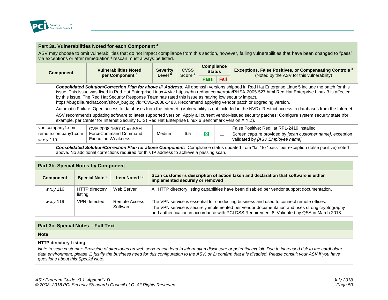

#### **Part 3a. Vulnerabilities Noted for each Component <sup>4</sup>**

ASV may choose to omit vulnerabilities that do not impact compliance from this section, however, failing vulnerabilities that have been changed to "pass" via exceptions or after remediation / rescan must always be listed.

| Component | <b>Vulnerabilities Noted</b><br>per Component <sup>5</sup> | <b>Severity</b><br>$L$ evel <sup>6</sup> | <b>CVSS</b><br><b>Score</b> | <b>Compliance</b><br><b>Status</b> |             | <b>Exceptions, False Positives, or Compensating Controls 8</b> |
|-----------|------------------------------------------------------------|------------------------------------------|-----------------------------|------------------------------------|-------------|----------------------------------------------------------------|
|           |                                                            |                                          |                             | <b>Pass</b>                        | <b>Fail</b> | (Noted by the ASV for this vulnerability)                      |

*Consolidated Solution/Correction Plan for above IP Address:* All openssh versions shipped in Red Hat Enterprise Linux 5 include the patch for this issue. This issue was fixed in Red Hat Enterprise Linux 4 via: https://rhn.redhat.com/errata/RHSA-2005-527.html Red Hat Enterprise Linux 3 is affected by this issue. The Red Hat Security Response Team has rated this issue as having low security impact.

https://bugzilla.redhat.com/show\_bug.cgi?id=CVE-2008-1483. Recommend applying vendor patch or upgrading version.

Automatic Failure: Open access to databases from the Internet. (Vulnerability is not included in the NVD). Restrict access to databases from the Internet.

ASV recommends updating software to latest supported version; Apply all current vendor-issued security patches; Configure system security state (for example, per Center for Internet Security (CIS) Red Hat Enterprise Linux 6 Benchmark version X.Y.Z).

| vpn.company1.com    | CVE-2008-1657 OpenSSH     |               |     |             | False Positive: RedHat RPL-2419 installed                  |
|---------------------|---------------------------|---------------|-----|-------------|------------------------------------------------------------|
| remote.company1.com | ForceCommand Command      | <b>Medium</b> | 6.5 | $\boxtimes$ | Screen capture provided by [scan customer name], exception |
| w.x.v.119           | <b>Execution Weakness</b> |               |     |             | validated by [ASV Employee name]                           |

*Consolidated Solution/Correction Plan for above Component:* Compliance status updated from "fail" to "pass" per exception (false positive) noted above. No additional corrections required for this IP address to achieve a passing scan.

| <b>Part 3b. Special Notes by Component</b> |                                  |                           |                                                                                                                                                                                                                                                                                           |  |  |  |  |  |
|--------------------------------------------|----------------------------------|---------------------------|-------------------------------------------------------------------------------------------------------------------------------------------------------------------------------------------------------------------------------------------------------------------------------------------|--|--|--|--|--|
| <b>Component</b>                           | Special Note <sup>9</sup>        | Item Noted 10             | Scan customer's description of action taken and declaration that software is either<br>implemented securely or removed                                                                                                                                                                    |  |  |  |  |  |
| w.x.y.116                                  | <b>HTTP</b> directory<br>listing | Web Server                | All HTTP directory listing capabilities have been disabled per vendor support documentation.                                                                                                                                                                                              |  |  |  |  |  |
| w.x.y.119                                  | VPN detected                     | Remote Access<br>Software | The VPN service is essential for conducting business and used to connect remote offices.<br>The VPN service is securely implemented per vendor documentation and uses strong cryptography<br>and authentication in accordance with PCI DSS Requirement 8. Validated by QSA in March 2018. |  |  |  |  |  |

#### **Part 3c. Special Notes – Full Text**

#### **Note**

#### **HTTP directory Listing**

*Note to scan customer: Browsing of directories on web servers can lead to information disclosure or potential exploit. Due to increased risk to the cardholder data environment, please 1) justify the business need for this configuration to the ASV, or 2) confirm that it is disabled. Please consult your ASV if you have questions about this Special Note.*